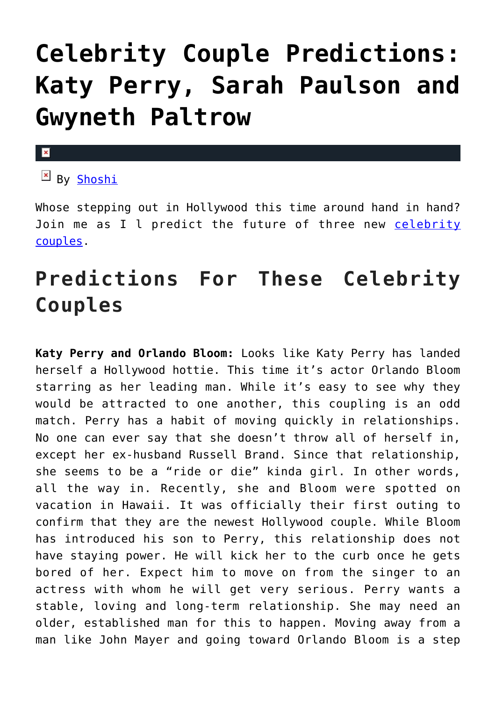# **[Celebrity Couple Predictions:](https://cupidspulse.com/106802/celebrity-couple-predictions-katy-perry-sarah-paulson-gwyneth-paltrow/) [Katy Perry, Sarah Paulson and](https://cupidspulse.com/106802/celebrity-couple-predictions-katy-perry-sarah-paulson-gwyneth-paltrow/) [Gwyneth Paltrow](https://cupidspulse.com/106802/celebrity-couple-predictions-katy-perry-sarah-paulson-gwyneth-paltrow/)**

#### $\mathbf{x}$

 $By$  [Shoshi](https://about.me/yolandashoshana)

Whose stepping out in Hollywood this time around hand in hand? Join me as I l predict the future of three new [celebrity](http://cupidspulse.com/celebrity-relationships/long-term-relationships-flings/) [couples](http://cupidspulse.com/celebrity-relationships/long-term-relationships-flings/).

## **Predictions For These Celebrity Couples**

**Katy Perry and Orlando Bloom:** Looks like Katy Perry has landed herself a Hollywood hottie. This time it's actor Orlando Bloom starring as her leading man. While it's easy to see why they would be attracted to one another, this coupling is an odd match. Perry has a habit of moving quickly in relationships. No one can ever say that she doesn't throw all of herself in, except her ex-husband Russell Brand. Since that relationship, she seems to be a "ride or die" kinda girl. In other words, all the way in. Recently, she and Bloom were spotted on vacation in Hawaii. It was officially their first outing to confirm that they are the newest Hollywood couple. While Bloom has introduced his son to Perry, this relationship does not have staying power. He will kick her to the curb once he gets bored of her. Expect him to move on from the singer to an actress with whom he will get very serious. Perry wants a stable, loving and long-term relationship. She may need an older, established man for this to happen. Moving away from a man like John Mayer and going toward Orlando Bloom is a step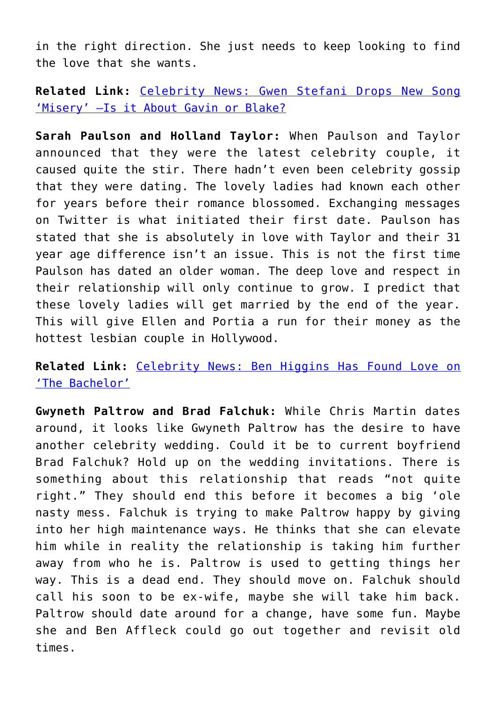in the right direction. She just needs to keep looking to find the love that she wants.

**Related Link:** [Celebrity News: Gwen Stefani Drops New Song](http://cupidspulse.com/106449/gwen-stefani-new-song-misery-gavin-rossdale-blake-shelton/) ['Misery' –Is it About Gavin or Blake?](http://cupidspulse.com/106449/gwen-stefani-new-song-misery-gavin-rossdale-blake-shelton/)

**Sarah Paulson and Holland Taylor:** When Paulson and Taylor announced that they were the latest celebrity couple, it caused quite the stir. There hadn't even been celebrity gossip that they were dating. The lovely ladies had known each other for years before their romance blossomed. Exchanging messages on Twitter is what initiated their first date. Paulson has stated that she is absolutely in love with Taylor and their 31 year age difference isn't an issue. This is not the first time Paulson has dated an older woman. The deep love and respect in their relationship will only continue to grow. I predict that these lovely ladies will get married by the end of the year. This will give Ellen and Portia a run for their money as the hottest lesbian couple in Hollywood.

**Related Link:** [Celebrity News: Ben Higgins Has Found Love on](http://cupidspulse.com/106752/celebrity-news-ben-higgins-the-bachelor/) ['The Bachelor'](http://cupidspulse.com/106752/celebrity-news-ben-higgins-the-bachelor/)

**Gwyneth Paltrow and Brad Falchuk:** While Chris Martin dates around, it looks like Gwyneth Paltrow has the desire to have another celebrity wedding. Could it be to current boyfriend Brad Falchuk? Hold up on the wedding invitations. There is something about this relationship that reads "not quite right." They should end this before it becomes a big 'ole nasty mess. Falchuk is trying to make Paltrow happy by giving into her high maintenance ways. He thinks that she can elevate him while in reality the relationship is taking him further away from who he is. Paltrow is used to getting things her way. This is a dead end. They should move on. Falchuk should call his soon to be ex-wife, maybe she will take him back. Paltrow should date around for a change, have some fun. Maybe she and Ben Affleck could go out together and revisit old times.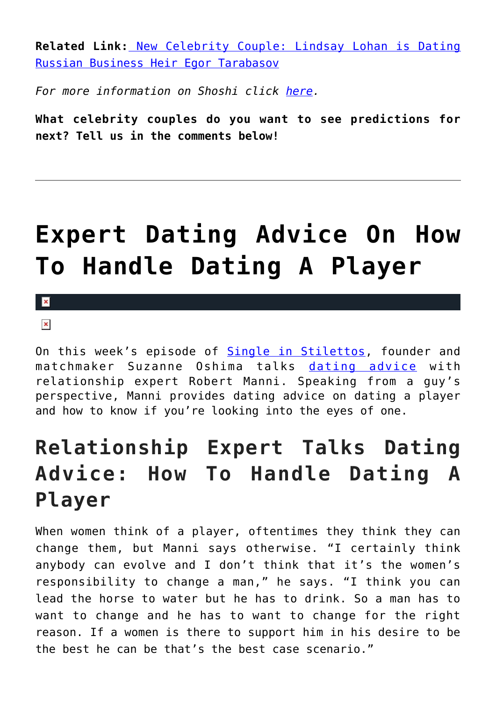**Related Link:** [New Celebrity Couple: Lindsay Lohan is Dating](http://cupidspulse.com/106383/new-celebrity-couple-lindsay-lohan-dating-egor-tarabasov/) [Russian Business Heir Egor Tarabasov](http://cupidspulse.com/106383/new-celebrity-couple-lindsay-lohan-dating-egor-tarabasov/)

*For more information on Shoshi click [here.](http://cupidspulse.com/relationship-dating-experts/yolanda-shoshana-shoshi-lifestyle-provocateur/)*

**What celebrity couples do you want to see predictions for next? Tell us in the comments below!**

# **[Expert Dating Advice On How](https://cupidspulse.com/106720/expert-dating-advice-dating-player/) [To Handle Dating A Player](https://cupidspulse.com/106720/expert-dating-advice-dating-player/)**

 $\pmb{\times}$ 

#### $\pmb{\times}$

On this week's episode of [Single in Stilettos,](http://www.singleinstilettos.com/) founder and matchmaker Suzanne Oshima talks [dating advice](http://cupidspulse.com/dating/date-ideas/) with relationship expert Robert Manni. Speaking from a guy's perspective, Manni provides dating advice on dating a player and how to know if you're looking into the eyes of one.

## **Relationship Expert Talks Dating Advice: How To Handle Dating A Player**

When women think of a player, oftentimes they think they can change them, but Manni says otherwise. "I certainly think anybody can evolve and I don't think that it's the women's responsibility to change a man," he says. "I think you can lead the horse to water but he has to drink. So a man has to want to change and he has to want to change for the right reason. If a women is there to support him in his desire to be the best he can be that's the best case scenario."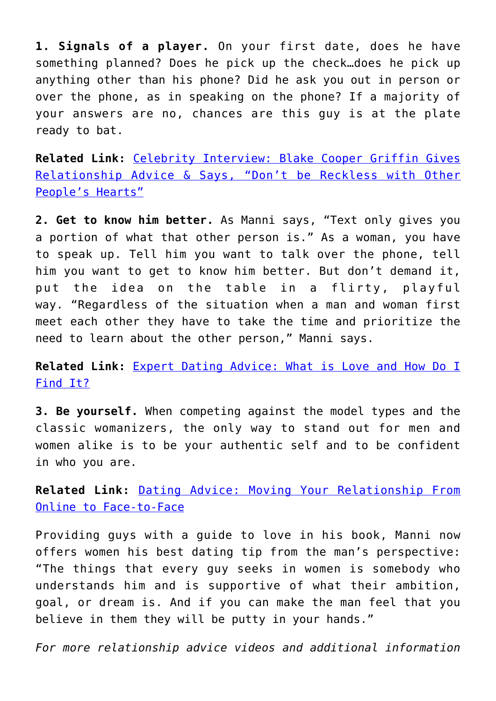**1. Signals of a player.** On your first date, does he have something planned? Does he pick up the check…does he pick up anything other than his phone? Did he ask you out in person or over the phone, as in speaking on the phone? If a majority of your answers are no, chances are this guy is at the plate ready to bat.

**Related Link:** [Celebrity Interview: Blake Cooper Griffin Gives](http://cupidspulse.com/106568/celebrity-interview-blake-cooper-griffin-talks-relationship-advice-dont-be-wreckless-with-other-peoples-hearts/) [Relationship Advice & Says, "Don't be Reckless with Other](http://cupidspulse.com/106568/celebrity-interview-blake-cooper-griffin-talks-relationship-advice-dont-be-wreckless-with-other-peoples-hearts/) [People's Hearts"](http://cupidspulse.com/106568/celebrity-interview-blake-cooper-griffin-talks-relationship-advice-dont-be-wreckless-with-other-peoples-hearts/)

**2. Get to know him better.** As Manni says, "Text only gives you a portion of what that other person is." As a woman, you have to speak up. Tell him you want to talk over the phone, tell him you want to get to know him better. But don't demand it, put the idea on the table in a flirty, playful way. "Regardless of the situation when a man and woman first meet each other they have to take the time and prioritize the need to learn about the other person," Manni says.

**Related Link:** [Expert Dating Advice: What is Love and How Do I](http://cupidspulse.com/106257/expert-dating-advice-divorce-support-center-what-is-love/) [Find It?](http://cupidspulse.com/106257/expert-dating-advice-divorce-support-center-what-is-love/)

**3. Be yourself.** When competing against the model types and the classic womanizers, the only way to stand out for men and women alike is to be your authentic self and to be confident in who you are.

**Related Link:** [Dating Advice: Moving Your Relationship From](http://cupidspulse.com/105412/dating-advice-joshua-pompey-online-relationships/) [Online to Face-to-Face](http://cupidspulse.com/105412/dating-advice-joshua-pompey-online-relationships/)

Providing guys with a guide to love in his book, Manni now offers women his best dating tip from the man's perspective: "The things that every guy seeks in women is somebody who understands him and is supportive of what their ambition, goal, or dream is. And if you can make the man feel that you believe in them they will be putty in your hands."

*For more relationship advice videos and additional information*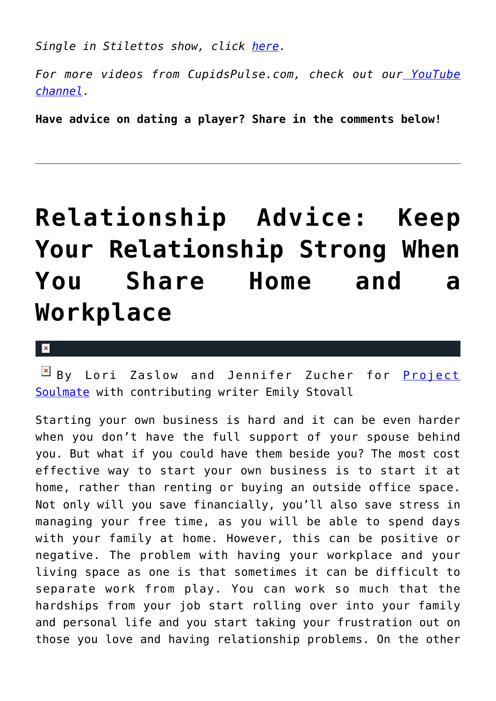*Single in Stilettos show, click [here](http://cupidspulse.com/single-in-stilettos-shows/).*

*For more videos from CupidsPulse.com, check out our [YouTube](https://www.youtube.com/watch?v=3-5zn0Vbqk4) [channel](https://www.youtube.com/watch?v=3-5zn0Vbqk4).*

**Have advice on dating a player? Share in the comments below!**

# **[Relationship Advice: Keep](https://cupidspulse.com/106223/expert-relationship-advice-home-work/) [Your Relationship Strong When](https://cupidspulse.com/106223/expert-relationship-advice-home-work/) [You Share Home and a](https://cupidspulse.com/106223/expert-relationship-advice-home-work/) [Workplace](https://cupidspulse.com/106223/expert-relationship-advice-home-work/)**

#### $\overline{\mathbf{x}}$

By Lori Zaslow and Jennifer Zucher for [Project](http://www.projectsoulmate.com/) [Soulmate](http://www.projectsoulmate.com/) with contributing writer Emily Stovall

Starting your own business is hard and it can be even harder when you don't have the full support of your spouse behind you. But what if you could have them beside you? The most cost effective way to start your own business is to start it at home, rather than renting or buying an outside office space. Not only will you save financially, you'll also save stress in managing your free time, as you will be able to spend days with your family at home. However, this can be positive or negative. The problem with having your workplace and your living space as one is that sometimes it can be difficult to separate work from play. You can work so much that the hardships from your job start rolling over into your family and personal life and you start taking your frustration out on those you love and having relationship problems. On the other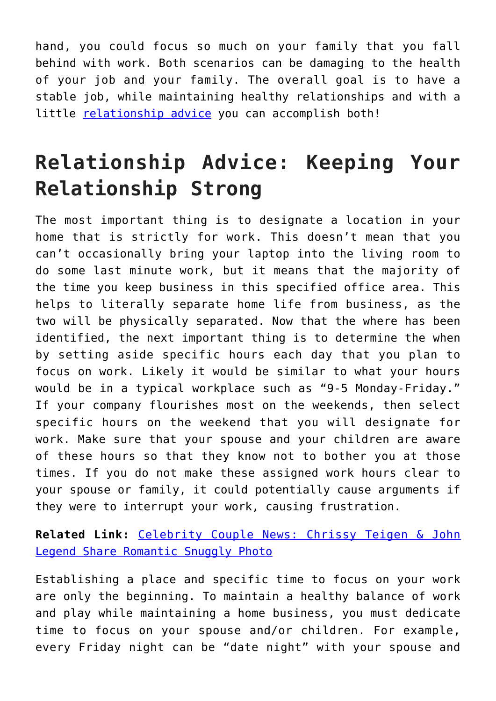hand, you could focus so much on your family that you fall behind with work. Both scenarios can be damaging to the health of your job and your family. The overall goal is to have a stable job, while maintaining healthy relationships and with a little [relationship advice](http://cupidspulse.com/relationship-experts/) you can accomplish both!

## **Relationship Advice: Keeping Your Relationship Strong**

The most important thing is to designate a location in your home that is strictly for work. This doesn't mean that you can't occasionally bring your laptop into the living room to do some last minute work, but it means that the majority of the time you keep business in this specified office area. This helps to literally separate home life from business, as the two will be physically separated. Now that the where has been identified, the next important thing is to determine the when by setting aside specific hours each day that you plan to focus on work. Likely it would be similar to what your hours would be in a typical workplace such as "9-5 Monday-Friday." If your company flourishes most on the weekends, then select specific hours on the weekend that you will designate for work. Make sure that your spouse and your children are aware of these hours so that they know not to bother you at those times. If you do not make these assigned work hours clear to your spouse or family, it could potentially cause arguments if they were to interrupt your work, causing frustration.

**Related Link:** [Celebrity Couple News: Chrissy Teigen & John](http://cupidspulse.com/106140/celebrity-couple-news-chrissy-teigen-john-legend-romantic-photo/) [Legend Share Romantic Snuggly Photo](http://cupidspulse.com/106140/celebrity-couple-news-chrissy-teigen-john-legend-romantic-photo/)

Establishing a place and specific time to focus on your work are only the beginning. To maintain a healthy balance of work and play while maintaining a home business, you must dedicate time to focus on your spouse and/or children. For example, every Friday night can be "date night" with your spouse and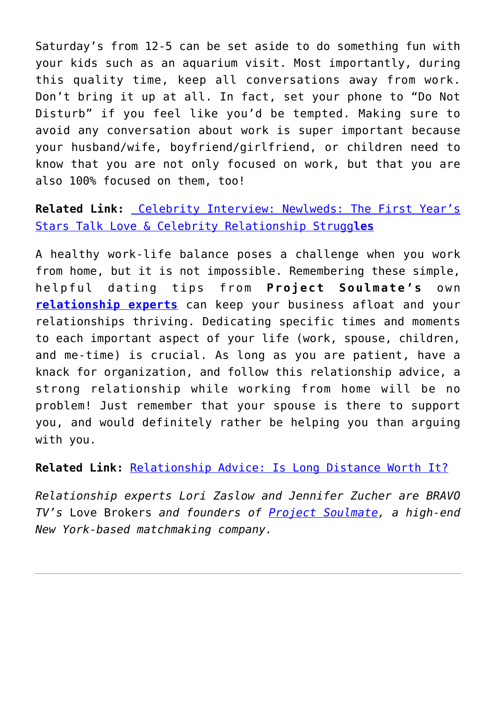Saturday's from 12-5 can be set aside to do something fun with your kids such as an aquarium visit. Most importantly, during this quality time, keep all conversations away from work. Don't bring it up at all. In fact, set your phone to "Do Not Disturb" if you feel like you'd be tempted. Making sure to avoid any conversation about work is super important because your husband/wife, boyfriend/girlfriend, or children need to know that you are not only focused on work, but that you are also 100% focused on them, too!

**Related Link:** [Celebrity Interview: Newlweds: The First Year's](http://cupidspulse.com/105011/celebrity-interview-newlyweds-the-first-year-tara-radcliffe-rob-radcliffe-celebrity-relationship/) [Stars Talk Love & Celebrity Relationship Strugg](http://cupidspulse.com/105011/celebrity-interview-newlyweds-the-first-year-tara-radcliffe-rob-radcliffe-celebrity-relationship/)**[les](http://cupidspulse.com/105011/celebrity-interview-newlyweds-the-first-year-tara-radcliffe-rob-radcliffe-celebrity-relationship/)**

A healthy work-life balance poses a challenge when you work from home, but it is not impossible. Remembering these simple, helpful dating tips from **Project Soulmate's** own **[relationship experts](http://www.projectsoulmate.com/success-stories/)** can keep your business afloat and your relationships thriving. Dedicating specific times and moments to each important aspect of your life (work, spouse, children, and me-time) is crucial. As long as you are patient, have a knack for organization, and follow this relationship advice, a strong relationship while working from home will be no problem! Just remember that your spouse is there to support you, and would definitely rather be helping you than arguing with you.

**Related Link:** [Relationship Advice: Is Long Distance Worth It?](http://cupidspulse.com/105767/relationship-advice-long-distance/)

*Relationship experts Lori Zaslow and Jennifer Zucher are BRAVO TV's* Love Brokers *and founders of [Project Soulmate](http://cupidspulse.com/relationship-dating-experts/lori-zaslow-jennifer-zucher-project-soulmate/), a high-end New York-based matchmaking company.*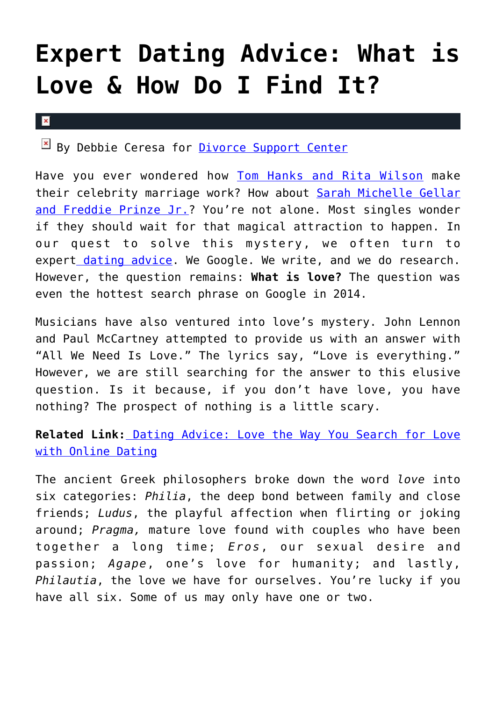## **[Expert Dating Advice: What is](https://cupidspulse.com/106257/expert-dating-advice-divorce-support-center-what-is-love/) [Love & How Do I Find It?](https://cupidspulse.com/106257/expert-dating-advice-divorce-support-center-what-is-love/)**

#### $\pmb{\times}$

By Debbie Ceresa for [Divorce Support Center](http://www.divorcesupportcenter.com/)

Have you ever wondered how [Tom Hanks and Rita Wilson](http://www.celebromance.com/15-of-hollywoods-happiest-celebrity-couples/3/) make their celebrity marriage work? How about [Sarah Michelle Gellar](http://www.celebromance.com/15-of-hollywoods-happiest-celebrity-couples/) [and Freddie Prinze Jr.](http://www.celebromance.com/15-of-hollywoods-happiest-celebrity-couples/)? You're not alone. Most singles wonder if they should wait for that magical attraction to happen. In our quest to solve this mystery, we often turn to expert [dating advice.](http://cupidspulse.com/relationship-experts/) We Google. We write, and we do research. However, the question remains: **What is love?** The question was even the hottest search phrase on Google in 2014.

Musicians have also ventured into love's mystery. John Lennon and Paul McCartney attempted to provide us with an answer with "All We Need Is Love." The lyrics say, "Love is everything." However, we are still searching for the answer to this elusive question. Is it because, if you don't have love, you have nothing? The prospect of nothing is a little scary.

**Related Link:** [Dating Advice: Love the Way You Search for Love](http://cupidspulse.com/105682/dating-advice-love-the-way-you-search-for-love-with-online-dating/) [with Online Dating](http://cupidspulse.com/105682/dating-advice-love-the-way-you-search-for-love-with-online-dating/)

The ancient Greek philosophers broke down the word *love* into six categories: *Philia*, the deep bond between family and close friends; *Ludus*, the playful affection when flirting or joking around; *Pragma,* mature love found with couples who have been together a long time; *Eros*, our sexual desire and passion; *Agape*, one's love for humanity; and lastly, *Philautia*, the love we have for ourselves. You're lucky if you have all six. Some of us may only have one or two.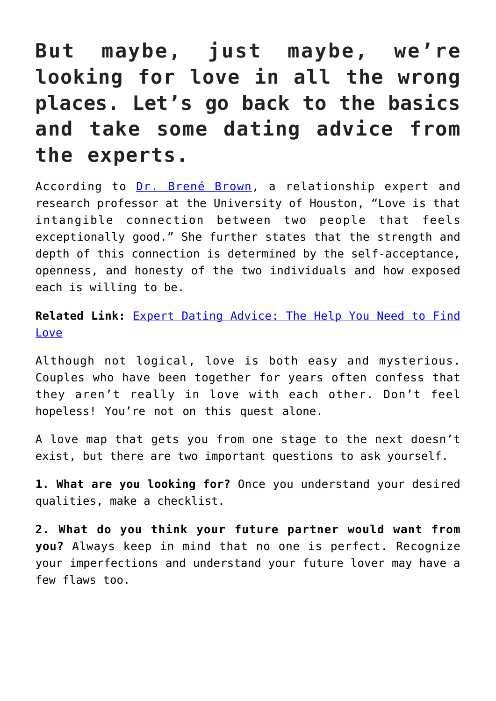## **But maybe, just maybe, we're looking for love in all the wrong places. Let's go back to the basics and take some dating advice from the experts.**

According to [Dr. Brené Brown,](http://brenebrown.com/) a relationship expert and research professor at the University of Houston, "Love is that intangible connection between two people that feels exceptionally good." She further states that the strength and depth of this connection is determined by the self-acceptance, openness, and honesty of the two individuals and how exposed each is willing to be.

**Related Link:** [Expert Dating Advice: The Help You Need to Find](http://cupidspulse.com/105262/expert-dating-advice-iris-benrubi-help-you-need-to-find-love/) [Love](http://cupidspulse.com/105262/expert-dating-advice-iris-benrubi-help-you-need-to-find-love/)

Although not logical, love is both easy and mysterious. Couples who have been together for years often confess that they aren't really in love with each other. Don't feel hopeless! You're not on this quest alone.

A love map that gets you from one stage to the next doesn't exist, but there are two important questions to ask yourself.

**1. What are you looking for?** Once you understand your desired qualities, make a checklist.

**2. What do you think your future partner would want from you?** Always keep in mind that no one is perfect. Recognize your imperfections and understand your future lover may have a few flaws too.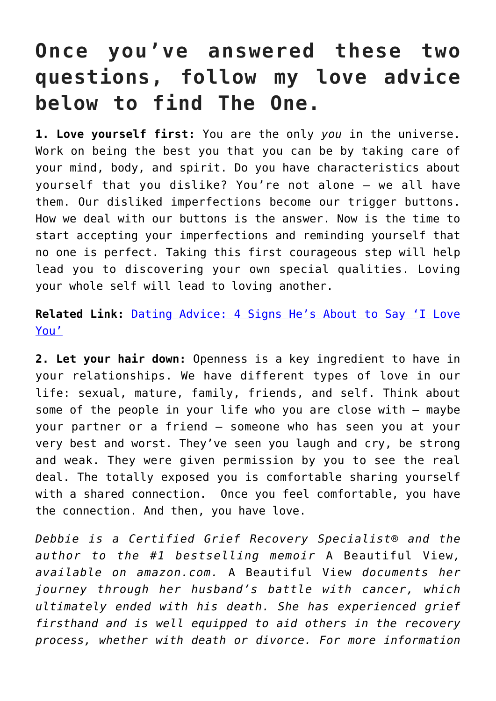### **Once you've answered these two questions, follow my love advice below to find The One.**

**1. Love yourself first:** You are the only *you* in the universe. Work on being the best you that you can be by taking care of your mind, body, and spirit. Do you have characteristics about yourself that you dislike? You're not alone — we all have them. Our disliked imperfections become our trigger buttons. How we deal with our buttons is the answer. Now is the time to start accepting your imperfections and reminding yourself that no one is perfect. Taking this first courageous step will help lead you to discovering your own special qualities. Loving your whole self will lead to loving another.

**Related Link:** [Dating Advice: 4 Signs He's About to Say 'I Love](http://cupidspulse.com/105383/dating-advice-signs-say-i-love-you/) [You'](http://cupidspulse.com/105383/dating-advice-signs-say-i-love-you/)

**2. Let your hair down:** Openness is a key ingredient to have in your relationships. We have different types of love in our life: sexual, mature, family, friends, and self. Think about some of the people in your life who you are close with — maybe your partner or a friend — someone who has seen you at your very best and worst. They've seen you laugh and cry, be strong and weak. They were given permission by you to see the real deal. The totally exposed you is comfortable sharing yourself with a shared connection. Once you feel comfortable, you have the connection. And then, you have love.

*Debbie is a Certified Grief Recovery Specialist® and the author to the #1 bestselling memoir* A Beautiful View*, available on amazon.com.* A Beautiful View *documents her journey through her husband's battle with cancer, which ultimately ended with his death. She has experienced grief firsthand and is well equipped to aid others in the recovery process, whether with death or divorce. For more information*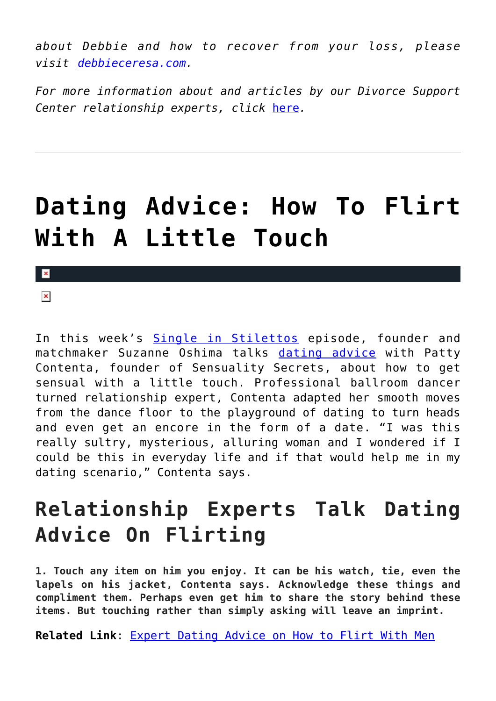*about Debbie and how to recover from your loss, please visit [debbieceresa.com](http://www.debbieceresa.com/).*

*For more information about and articles by our Divorce Support Center relationship experts, click* [here](http://cupidspulse.com/relationship-dating-experts/hope-after-divorce-relationship-experts/)*.*

## **[Dating Advice: How To Flirt](https://cupidspulse.com/106163/expert-dating-advice-flirting-single-in-stilettos/) [With A Little Touch](https://cupidspulse.com/106163/expert-dating-advice-flirting-single-in-stilettos/)**

 $\pmb{\times}$ 

 $\pmb{\times}$ 

In this week's [Single in Stilettos](http://www.singleinstilettos.com/) episode, founder and matchmaker Suzanne Oshima talks [dating advice](http://cupidspulse.com/dating/date-ideas/) with Patty Contenta, founder of Sensuality Secrets, about how to get sensual with a little touch. Professional ballroom dancer turned relationship expert, Contenta adapted her smooth moves from the dance floor to the playground of dating to turn heads and even get an encore in the form of a date. "I was this really sultry, mysterious, alluring woman and I wondered if I could be this in everyday life and if that would help me in my dating scenario," Contenta says.

### **Relationship Experts Talk Dating Advice On Flirting**

**1. Touch any item on him you enjoy. It can be his watch, tie, even the lapels on his jacket, Contenta says. Acknowledge these things and compliment them. Perhaps even get him to share the story behind these items. But touching rather than simply asking will leave an imprint.**

**Related Link**: [Expert Dating Advice on How to Flirt With Men](http://cupidspulse.com/105096/expert-dating-advice-how-to-flirt-with-men/)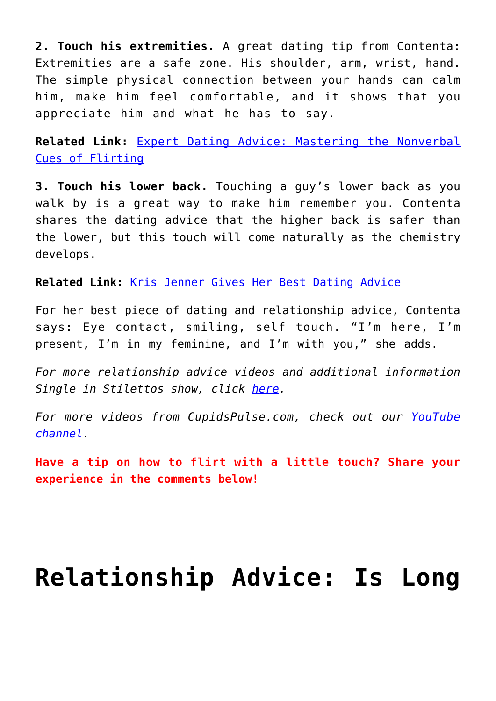**2. Touch his extremities.** A great dating tip from Contenta: Extremities are a safe zone. His shoulder, arm, wrist, hand. The simple physical connection between your hands can calm him, make him feel comfortable, and it shows that you appreciate him and what he has to say.

**Related Link:** [Expert Dating Advice: Mastering the Nonverbal](http://cupidspulse.com/105162/expert-dating-advice-nonverbal-cues-flirting/) [Cues of Flirting](http://cupidspulse.com/105162/expert-dating-advice-nonverbal-cues-flirting/)

**3. Touch his lower back.** Touching a guy's lower back as you walk by is a great way to make him remember you. Contenta shares the dating advice that the higher back is safer than the lower, but this touch will come naturally as the chemistry develops.

**Related Link:** [Kris Jenner Gives Her Best Dating Advice](http://cupidspulse.com/105025/kris-jenner-best-dating-advice/)

For her best piece of dating and relationship advice, Contenta says: Eye contact, smiling, self touch. "I'm here, I'm present, I'm in my feminine, and I'm with you," she adds.

*For more relationship advice videos and additional information Single in Stilettos show, click [here](http://cupidspulse.com/single-in-stilettos-shows/).*

*For more videos from CupidsPulse.com, check out our [YouTube](https://www.youtube.com/watch?v=3-5zn0Vbqk4) [channel](https://www.youtube.com/watch?v=3-5zn0Vbqk4).*

**Have a tip on how to flirt with a little touch? Share your experience in the comments below!**

## **[Relationship Advice: Is Long](https://cupidspulse.com/105767/relationship-advice-long-distance/)**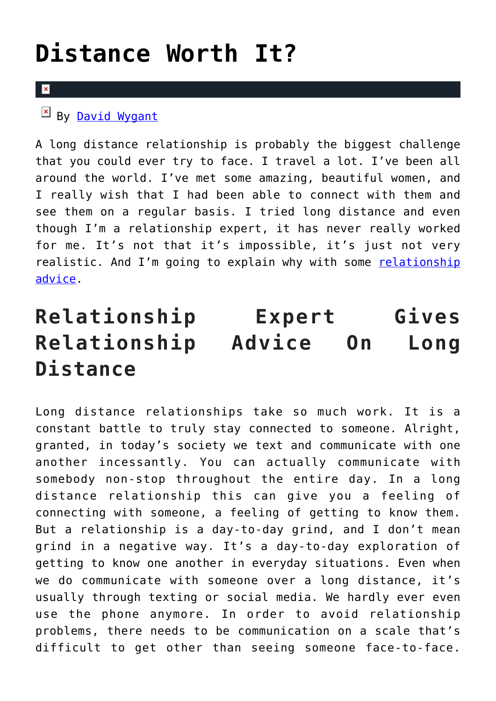## **[Distance Worth It?](https://cupidspulse.com/105767/relationship-advice-long-distance/)**

#### **x**

### By [David Wygant](http://cupidspulse.com/relationship-dating-experts/david-wygant-dating-coach/)

A long distance relationship is probably the biggest challenge that you could ever try to face. I travel a lot. I've been all around the world. I've met some amazing, beautiful women, and I really wish that I had been able to connect with them and see them on a regular basis. I tried long distance and even though I'm a relationship expert, it has never really worked for me. It's not that it's impossible, it's just not very realistic. And I'm going to explain why with some [relationship](http://cupidspulse.com/relationship-experts/) [advice](http://cupidspulse.com/relationship-experts/).

### **Relationship Expert Gives Relationship Advice On Long Distance**

Long distance relationships take so much work. It is a constant battle to truly stay connected to someone. Alright, granted, in today's society we text and communicate with one another incessantly. You can actually communicate with somebody non-stop throughout the entire day. In a long distance relationship this can give you a feeling of connecting with someone, a feeling of getting to know them. But a relationship is a day-to-day grind, and I don't mean grind in a negative way. It's a day-to-day exploration of getting to know one another in everyday situations. Even when we do communicate with someone over a long distance, it's usually through texting or social media. We hardly ever even use the phone anymore. In order to avoid relationship problems, there needs to be communication on a scale that's difficult to get other than seeing someone face-to-face.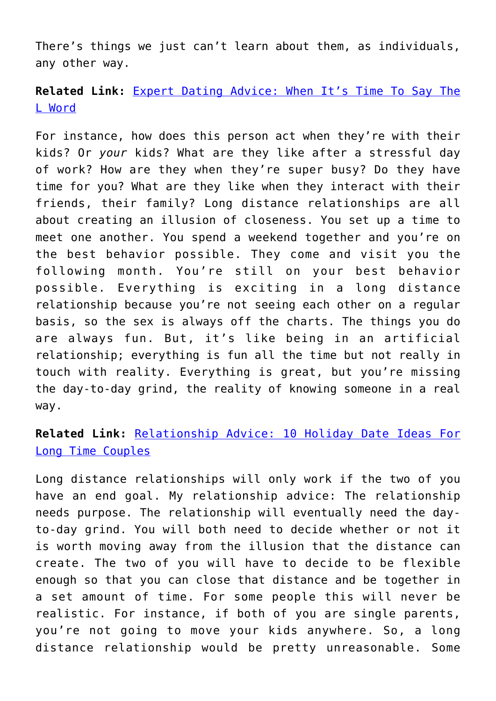There's things we just can't learn about them, as individuals, any other way.

**Related Link:** [Expert Dating Advice: When It's Time To Say The](http://cupidspulse.com/104522/expert-dating-advice-when-its-time-to-say-the-l-word/) [L Word](http://cupidspulse.com/104522/expert-dating-advice-when-its-time-to-say-the-l-word/)

For instance, how does this person act when they're with their kids? Or *your* kids? What are they like after a stressful day of work? How are they when they're super busy? Do they have time for you? What are they like when they interact with their friends, their family? Long distance relationships are all about creating an illusion of closeness. You set up a time to meet one another. You spend a weekend together and you're on the best behavior possible. They come and visit you the following month. You're still on your best behavior possible. Everything is exciting in a long distance relationship because you're not seeing each other on a regular basis, so the sex is always off the charts. The things you do are always fun. But, it's like being in an artificial relationship; everything is fun all the time but not really in touch with reality. Everything is great, but you're missing the day-to-day grind, the reality of knowing someone in a real way.

### **Related Link:** [Relationship Advice: 10 Holiday Date Ideas For](http://cupidspulse.com/102864/relationship-advice-holiday-date-ideas-long-time-couples/) [Long Time Couples](http://cupidspulse.com/102864/relationship-advice-holiday-date-ideas-long-time-couples/)

Long distance relationships will only work if the two of you have an end goal. My relationship advice: The relationship needs purpose. The relationship will eventually need the dayto-day grind. You will both need to decide whether or not it is worth moving away from the illusion that the distance can create. The two of you will have to decide to be flexible enough so that you can close that distance and be together in a set amount of time. For some people this will never be realistic. For instance, if both of you are single parents, you're not going to move your kids anywhere. So, a long distance relationship would be pretty unreasonable. Some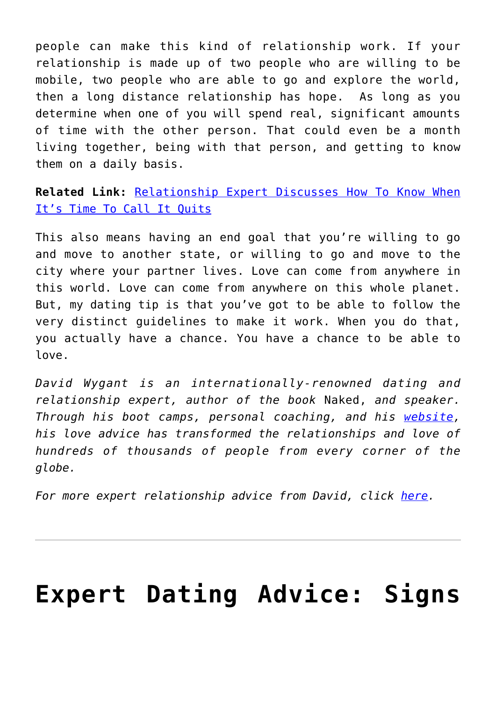people can make this kind of relationship work. If your relationship is made up of two people who are willing to be mobile, two people who are able to go and explore the world, then a long distance relationship has hope. As long as you determine when one of you will spend real, significant amounts of time with the other person. That could even be a month living together, being with that person, and getting to know them on a daily basis.

**Related Link:** [Relationship Expert Discusses How To Know When](http://cupidspulse.com/99656/relationship-expert-david-wygant-when-its-time-to-breakup/) [It's Time To Call It Quits](http://cupidspulse.com/99656/relationship-expert-david-wygant-when-its-time-to-breakup/)

This also means having an end goal that you're willing to go and move to another state, or willing to go and move to the city where your partner lives. Love can come from anywhere in this world. Love can come from anywhere on this whole planet. But, my dating tip is that you've got to be able to follow the very distinct guidelines to make it work. When you do that, you actually have a chance. You have a chance to be able to love.

*David Wygant is an internationally-renowned dating and relationship expert, author of the book* Naked, *and speaker. Through his boot camps, personal coaching, and his [website,](http://www.davidwygant.com/) his love advice has transformed the relationships and love of hundreds of thousands of people from every corner of the globe.* 

*For more expert relationship advice from David, click [here.](http://cupidspulse.com/relationship-dating-experts/david-wygant-dating-coach/)* 

# **[Expert Dating Advice: Signs](https://cupidspulse.com/105670/expert-dating-advice-tinzley-bradford-signs-hes-not-interested-in-you/)**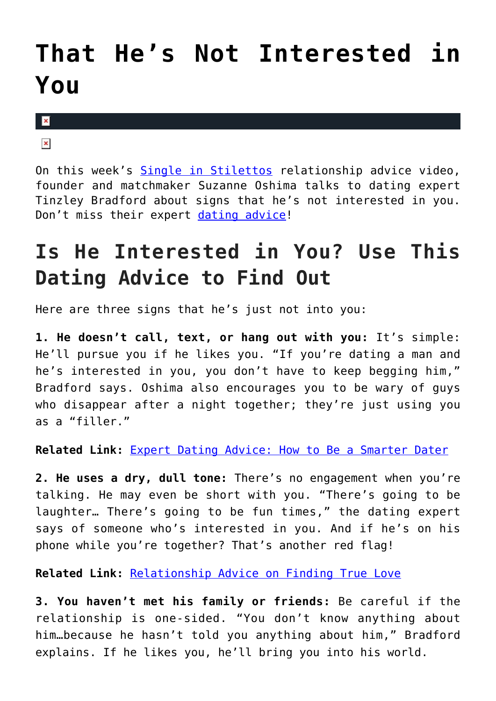## **[That He's Not Interested in](https://cupidspulse.com/105670/expert-dating-advice-tinzley-bradford-signs-hes-not-interested-in-you/) [You](https://cupidspulse.com/105670/expert-dating-advice-tinzley-bradford-signs-hes-not-interested-in-you/)**

 $\mathbf{x}$ 

 $\pmb{\times}$ 

On this week's [Single in Stilettos](http://www.singleinstilettos.com) relationship advice video, founder and matchmaker Suzanne Oshima talks to dating expert Tinzley Bradford about signs that he's not interested in you. Don't miss their expert [dating advice](http://cupidspulse.com/dating/date-ideas/)!

## **Is He Interested in You? Use This Dating Advice to Find Out**

Here are three signs that he's just not into you:

**1. He doesn't call, text, or hang out with you:** It's simple: He'll pursue you if he likes you. "If you're dating a man and he's interested in you, you don't have to keep begging him," Bradford says. Oshima also encourages you to be wary of guys who disappear after a night together; they're just using you as a "filler."

**Related Link:** [Expert Dating Advice: How to Be a Smarter Dater](http://cupidspulse.com/104442/expert-dating-advice-how-to-be-a-smarter-dater/)

**2. He uses a dry, dull tone:** There's no engagement when you're talking. He may even be short with you. "There's going to be laughter… There's going to be fun times," the dating expert says of someone who's interested in you. And if he's on his phone while you're together? That's another red flag!

**Related Link:** [Relationship Advice on Finding True Love](http://cupidspulse.com/101777/relationship-advice-finding-true-relationships-and-love/)

**3. You haven't met his family or friends:** Be careful if the relationship is one-sided. "You don't know anything about him…because he hasn't told you anything about him," Bradford explains. If he likes you, he'll bring you into his world.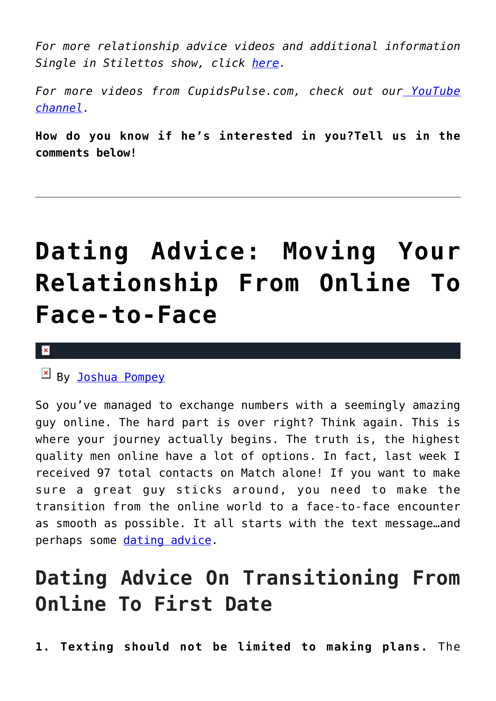*For more relationship advice videos and additional information Single in Stilettos show, click [here](http://cupidspulse.com/single-in-stilettos-shows/).*

*For more videos from CupidsPulse.com, check out our [YouTube](https://www.youtube.com/watch?v=3-5zn0Vbqk4) [channel](https://www.youtube.com/watch?v=3-5zn0Vbqk4).*

**How do you know if he's interested in you?Tell us in the comments below!**

## **[Dating Advice: Moving Your](https://cupidspulse.com/105412/dating-advice-joshua-pompey-online-relationships/) [Relationship From Online To](https://cupidspulse.com/105412/dating-advice-joshua-pompey-online-relationships/) [Face-to-Face](https://cupidspulse.com/105412/dating-advice-joshua-pompey-online-relationships/)**

#### $\mathbf x$

By [Joshua Pompey](http://cupidspulse.com/relationship-dating-experts/joshua-pompey/)

So you've managed to exchange numbers with a seemingly amazing guy online. The hard part is over right? Think again. This is where your journey actually begins. The truth is, the highest quality men online have a lot of options. In fact, last week I received 97 total contacts on Match alone! If you want to make sure a great guy sticks around, you need to make the transition from the online world to a face-to-face encounter as smooth as possible. It all starts with the text message…and perhaps some [dating advice.](http://cupidspulse.com/dating/date-ideas/)

### **Dating Advice On Transitioning From Online To First Date**

**1. Texting should not be limited to making plans.** The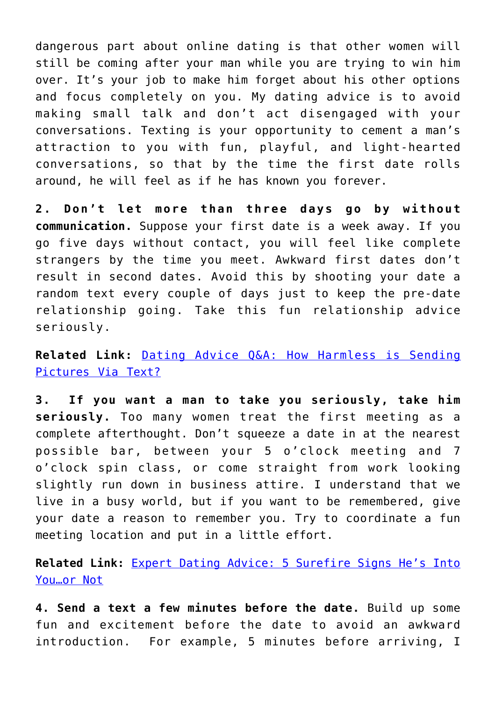dangerous part about online dating is that other women will still be coming after your man while you are trying to win him over. It's your job to make him forget about his other options and focus completely on you. My dating advice is to avoid making small talk and don't act disengaged with your conversations. Texting is your opportunity to cement a man's attraction to you with fun, playful, and light-hearted conversations, so that by the time the first date rolls around, he will feel as if he has known you forever.

**2. Don't let more than three days go by without communication.** Suppose your first date is a week away. If you go five days without contact, you will feel like complete strangers by the time you meet. Awkward first dates don't result in second dates. Avoid this by shooting your date a random text every couple of days just to keep the pre-date relationship going. Take this fun relationship advice seriously.

**Related Link:** [Dating Advice Q&A: How Harmless is Sending](http://cupidspulse.com/102471/dating-advice-qa-how-harmless-is-sending-pictures-via-text/) [Pictures Via Text?](http://cupidspulse.com/102471/dating-advice-qa-how-harmless-is-sending-pictures-via-text/)

**3. If you want a man to take you seriously, take him seriously.** Too many women treat the first meeting as a complete afterthought. Don't squeeze a date in at the nearest possible bar, between your 5 o'clock meeting and 7 o'clock spin class, or come straight from work looking slightly run down in business attire. I understand that we live in a busy world, but if you want to be remembered, give your date a reason to remember you. Try to coordinate a fun meeting location and put in a little effort.

**Related Link:** [Expert Dating Advice: 5 Surefire Signs He's Into](http://cupidspulse.com/90170/expert-dating-advice-signs-hes-into-you-or-not/) [You…or Not](http://cupidspulse.com/90170/expert-dating-advice-signs-hes-into-you-or-not/)

**4. Send a text a few minutes before the date.** Build up some fun and excitement before the date to avoid an awkward introduction. For example, 5 minutes before arriving, I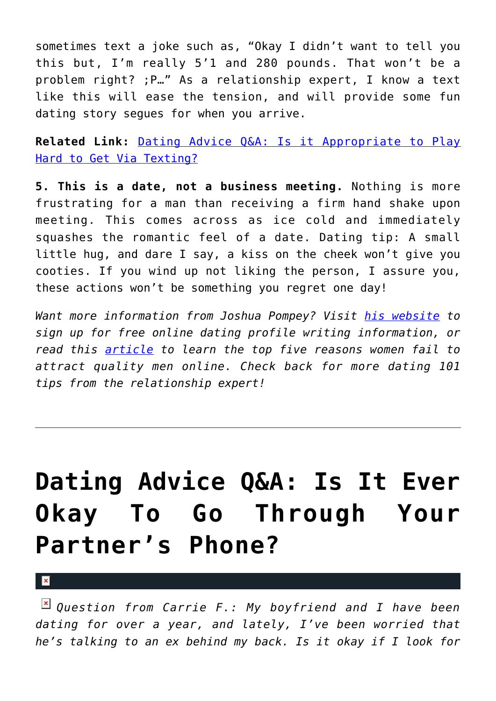sometimes text a joke such as, "Okay I didn't want to tell you this but, I'm really 5'1 and 280 pounds. That won't be a problem right? ;P…" As a relationship expert, I know a text like this will ease the tension, and will provide some fun dating story segues for when you arrive.

**Related Link:** [Dating Advice Q&A: Is it Appropriate to Play](http://cupidspulse.com/85215/dating-advice-texting-suzanne-oshima-paige-wyatt-robert-manni/) [Hard to Get Via Texting?](http://cupidspulse.com/85215/dating-advice-texting-suzanne-oshima-paige-wyatt-robert-manni/)

**5. This is a date, not a business meeting.** Nothing is more frustrating for a man than receiving a firm hand shake upon meeting. This comes across as ice cold and immediately squashes the romantic feel of a date. Dating tip: A small little hug, and dare I say, a kiss on the cheek won't give you cooties. If you wind up not liking the person, I assure you, these actions won't be something you regret one day!

*Want more information from Joshua Pompey? Visit [his website](http://jpompey.com/Ladies) to sign up for free online dating profile writing information, or read this [article](http://www.nemvip.com/how-to-attract-men-online) to learn the top five reasons women fail to attract quality men online. Check back for more dating 101 tips from the relationship expert!*

## **[Dating Advice Q&A: Is It Ever](https://cupidspulse.com/105358/dating-advice-is-it-ever-okay-to-go-through-your-partners-phone/) [Okay To Go Through Your](https://cupidspulse.com/105358/dating-advice-is-it-ever-okay-to-go-through-your-partners-phone/) [Partner's Phone?](https://cupidspulse.com/105358/dating-advice-is-it-ever-okay-to-go-through-your-partners-phone/)**

*Question from Carrie F.: My boyfriend and I have been dating for over a year, and lately, I've been worried that he's talking to an ex behind my back. Is it okay if I look for*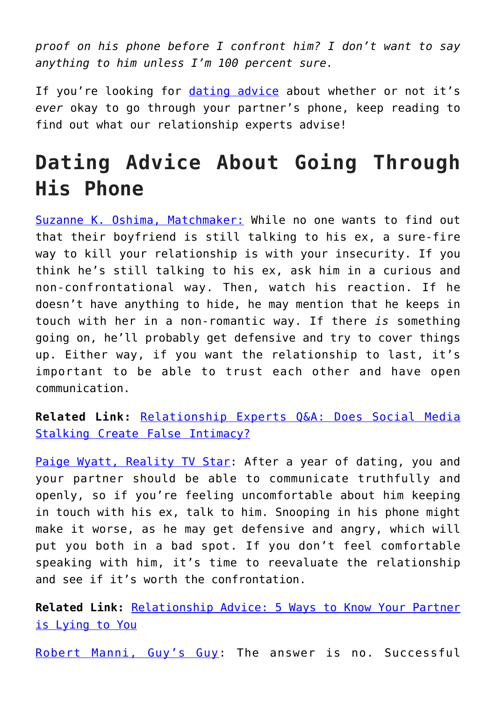*proof on his phone before I confront him? I don't want to say anything to him unless I'm 100 percent sure.*

If you're looking for [dating advice](http://cupidspulse.com/dating/date-ideas/) about whether or not it's *ever* okay to go through your partner's phone, keep reading to find out what our relationship experts advise!

### **Dating Advice About Going Through His Phone**

[Suzanne K. Oshima, Matchmaker:](http://www.dreambachelor.com/) While no one wants to find out that their boyfriend is still talking to his ex, a sure-fire way to kill your relationship is with your insecurity. If you think he's still talking to his ex, ask him in a curious and non-confrontational way. Then, watch his reaction. If he doesn't have anything to hide, he may mention that he keeps in touch with her in a non-romantic way. If there *is* something going on, he'll probably get defensive and try to cover things up. Either way, if you want the relationship to last, it's important to be able to trust each other and have open communication.

**Related Link:** [Relationship Experts Q&A: Does Social Media](http://cupidspulse.com/100298/relationship-experts-social-media-false-intimacy/) [Stalking Create False Intimacy?](http://cupidspulse.com/100298/relationship-experts-social-media-false-intimacy/)

[Paige Wyatt, Reality TV Star](https://www.facebook.com/Paige-American-Guns-282001538494385/): After a year of dating, you and your partner should be able to communicate truthfully and openly, so if you're feeling uncomfortable about him keeping in touch with his ex, talk to him. Snooping in his phone might make it worse, as he may get defensive and angry, which will put you both in a bad spot. If you don't feel comfortable speaking with him, it's time to reevaluate the relationship and see if it's worth the confrontation.

**Related Link:** [Relationship Advice: 5 Ways to Know Your Partner](http://cupidspulse.com/99429/relationship-advice-know-your-partner-lying/) [is Lying to You](http://cupidspulse.com/99429/relationship-advice-know-your-partner-lying/)

[Robert Manni, Guy's Guy](http://www.robertmanni.com/): The answer is no. Successful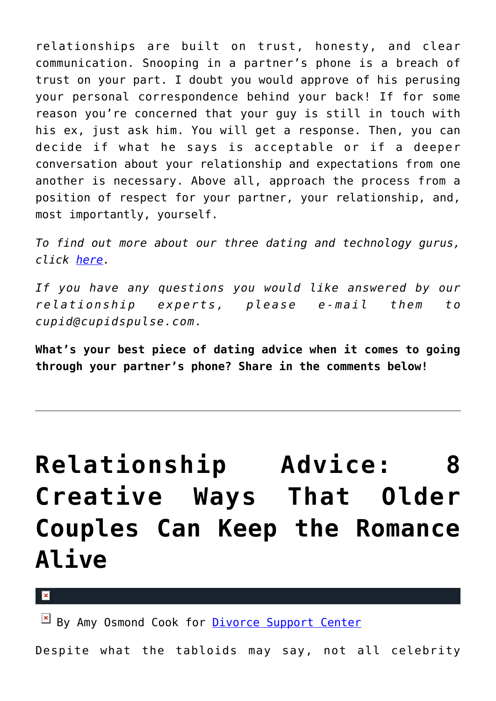relationships are built on trust, honesty, and clear communication. Snooping in a partner's phone is a breach of trust on your part. I doubt you would approve of his perusing your personal correspondence behind your back! If for some reason you're concerned that your guy is still in touch with his ex, just ask him. You will get a response. Then, you can decide if what he says is acceptable or if a deeper conversation about your relationship and expectations from one another is necessary. Above all, approach the process from a position of respect for your partner, your relationship, and, most importantly, yourself.

*To find out more about our three dating and technology gurus, click [here.](http://cupidspulse.com/relationship-dating-experts/oshima-wyatt-manni-technology-experts/)*

*If you have any questions you would like answered by our relationship experts, please e-mail them to cupid@cupidspulse.com.*

**What's your best piece of dating advice when it comes to going through your partner's phone? Share in the comments below!**

## **[Relationship Advice: 8](https://cupidspulse.com/105307/relationship-advice-amy-osmond-cook-older-couples-can-keep-the-romance-alive/) [Creative Ways That Older](https://cupidspulse.com/105307/relationship-advice-amy-osmond-cook-older-couples-can-keep-the-romance-alive/) [Couples Can Keep the Romance](https://cupidspulse.com/105307/relationship-advice-amy-osmond-cook-older-couples-can-keep-the-romance-alive/) [Alive](https://cupidspulse.com/105307/relationship-advice-amy-osmond-cook-older-couples-can-keep-the-romance-alive/)**

By Amy Osmond Cook for [Divorce Support Center](http://www.divorcesupportcenter.com/)

Despite what the tabloids may say, not all celebrity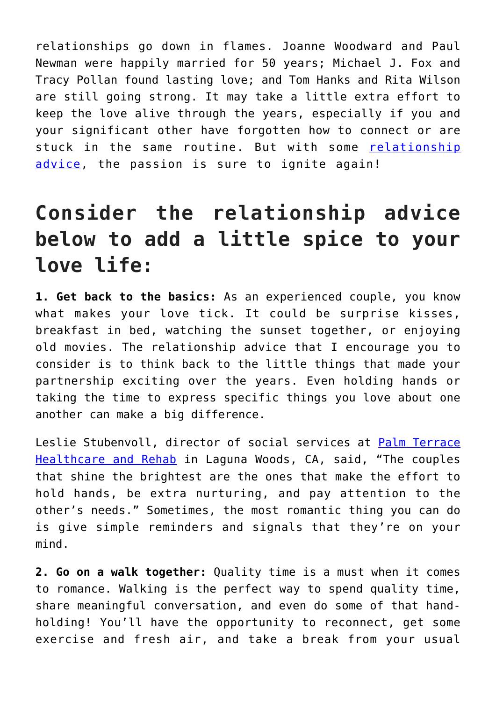relationships go down in flames. Joanne Woodward and Paul Newman were happily married for 50 years; Michael J. Fox and Tracy Pollan found lasting love; and Tom Hanks and Rita Wilson are still going strong. It may take a little extra effort to keep the love alive through the years, especially if you and your significant other have forgotten how to connect or are stuck in the same routine. But with some [relationship](http://cupidspulse.com/relationship-experts/) [advice](http://cupidspulse.com/relationship-experts/), the passion is sure to ignite again!

### **Consider the relationship advice below to add a little spice to your love life:**

**1. Get back to the basics:** As an experienced couple, you know what makes your love tick. It could be surprise kisses, breakfast in bed, watching the sunset together, or enjoying old movies. The relationship advice that I encourage you to consider is to think back to the little things that made your partnership exciting over the years. Even holding hands or taking the time to express specific things you love about one another can make a big difference.

Leslie Stubenvoll, director of social services at [Palm Terrace](http://palmterracecares.com/) [Healthcare and Rehab](http://palmterracecares.com/) in Laguna Woods, CA, said, "The couples that shine the brightest are the ones that make the effort to hold hands, be extra nurturing, and pay attention to the other's needs." Sometimes, the most romantic thing you can do is give simple reminders and signals that they're on your mind.

**2. Go on a walk together:** Quality time is a must when it comes to romance. Walking is the perfect way to spend quality time, share meaningful conversation, and even do some of that handholding! You'll have the opportunity to reconnect, get some exercise and fresh air, and take a break from your usual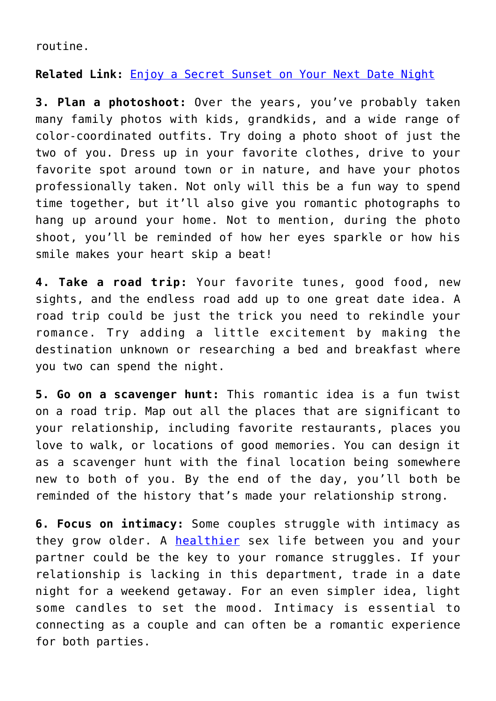routine.

**Related Link:** [Enjoy a Secret Sunset on Your Next Date Night](http://cupidspulse.com/84587/enjoy-a-secret-sunset-on-next-date-night/)

**3. Plan a photoshoot:** Over the years, you've probably taken many family photos with kids, grandkids, and a wide range of color-coordinated outfits. Try doing a photo shoot of just the two of you. Dress up in your favorite clothes, drive to your favorite spot around town or in nature, and have your photos professionally taken. Not only will this be a fun way to spend time together, but it'll also give you romantic photographs to hang up around your home. Not to mention, during the photo shoot, you'll be reminded of how her eyes sparkle or how his smile makes your heart skip a beat!

**4. Take a road trip:** Your favorite tunes, good food, new sights, and the endless road add up to one great date idea. A road trip could be just the trick you need to rekindle your romance. Try adding a little excitement by making the destination unknown or researching a bed and breakfast where you two can spend the night.

**5. Go on a scavenger hunt:** This romantic idea is a fun twist on a road trip. Map out all the places that are significant to your relationship, including favorite restaurants, places you love to walk, or locations of good memories. You can design it as a scavenger hunt with the final location being somewhere new to both of you. By the end of the day, you'll both be reminded of the history that's made your relationship strong.

**6. Focus on intimacy:** Some couples struggle with intimacy as they grow older. A [healthier](https://www.psychologytoday.com/blog/fulfillment-any-age/201304/what-s-your-sexual-life-expectancy) sex life between you and your partner could be the key to your romance struggles. If your relationship is lacking in this department, trade in a date night for a weekend getaway. For an even simpler idea, light some candles to set the mood. Intimacy is essential to connecting as a couple and can often be a romantic experience for both parties.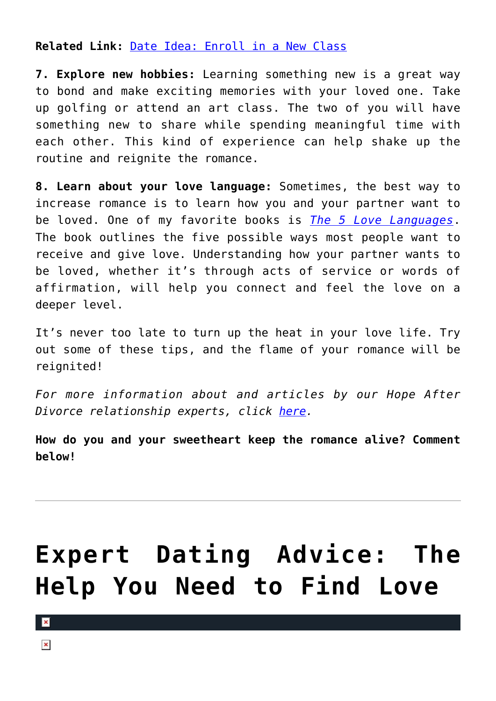**Related Link:** [Date Idea: Enroll in a New Class](http://cupidspulse.com/23047/weekend-date-idea-enroll-in-a-new-class-with-your-partner/)

**7. Explore new hobbies:** Learning something new is a great way to bond and make exciting memories with your loved one. Take up golfing or attend an art class. The two of you will have something new to share while spending meaningful time with each other. This kind of experience can help shake up the routine and reignite the romance.

**8. Learn about your love language:** Sometimes, the best way to increase romance is to learn how you and your partner want to be loved. One of my favorite books is *[The 5 Love Languages](http://www.5lovelanguages.com/)*. The book outlines the five possible ways most people want to receive and give love. Understanding how your partner wants to be loved, whether it's through acts of service or words of affirmation, will help you connect and feel the love on a deeper level.

It's never too late to turn up the heat in your love life. Try out some of these tips, and the flame of your romance will be reignited!

*For more information about and articles by our Hope After Divorce relationship experts, click [here.](http://cupidspulse.com/relationship-dating-experts/hope-after-divorce-relationship-experts/)*

**How do you and your sweetheart keep the romance alive? Comment below!**

# **[Expert Dating Advice: The](https://cupidspulse.com/105262/expert-dating-advice-iris-benrubi-help-you-need-to-find-love/) [Help You Need to Find Love](https://cupidspulse.com/105262/expert-dating-advice-iris-benrubi-help-you-need-to-find-love/)**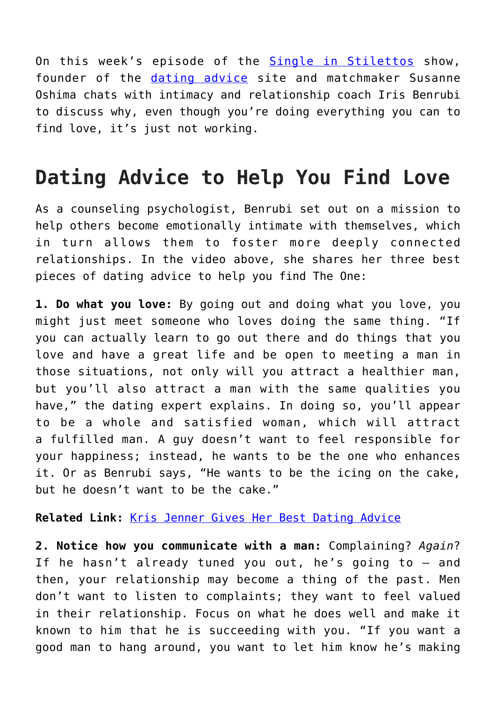On this week's episode of the [Single in Stilettos](http://www.singleinstilettos.com) show, founder of the [dating advice](http://cupidspulse.com/dating/date-ideas/) site and matchmaker Susanne Oshima chats with intimacy and relationship coach Iris Benrubi to discuss why, even though you're doing everything you can to find love, it's just not working.

### **Dating Advice to Help You Find Love**

As a counseling psychologist, Benrubi set out on a mission to help others become emotionally intimate with themselves, which in turn allows them to foster more deeply connected relationships. In the video above, she shares her three best pieces of dating advice to help you find The One:

**1. Do what you love:** By going out and doing what you love, you might just meet someone who loves doing the same thing. "If you can actually learn to go out there and do things that you love and have a great life and be open to meeting a man in those situations, not only will you attract a healthier man, but you'll also attract a man with the same qualities you have," the dating expert explains. In doing so, you'll appear to be a whole and satisfied woman, which will attract a fulfilled man. A guy doesn't want to feel responsible for your happiness; instead, he wants to be the one who enhances it. Or as Benrubi says, "He wants to be the icing on the cake, but he doesn't want to be the cake."

#### **Related Link:** [Kris Jenner Gives Her Best Dating Advice](http://cupidspulse.com/105025/kris-jenner-best-dating-advice/)

**2. Notice how you communicate with a man:** Complaining? *Again*? If he hasn't already tuned you out, he's going to — and then, your relationship may become a thing of the past. Men don't want to listen to complaints; they want to feel valued in their relationship. Focus on what he does well and make it known to him that he is succeeding with you. "If you want a good man to hang around, you want to let him know he's making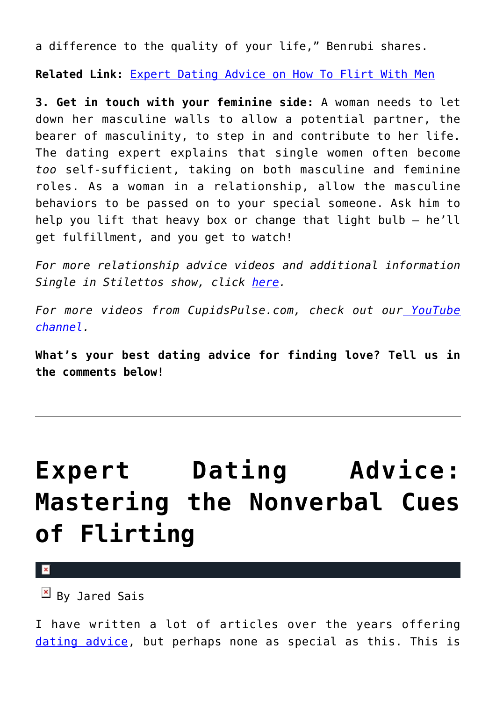a difference to the quality of your life," Benrubi shares.

**Related Link:** [Expert Dating Advice on How To Flirt With Men](http://cupidspulse.com/105096/expert-dating-advice-how-to-flirt-with-men/)

**3. Get in touch with your feminine side:** A woman needs to let down her masculine walls to allow a potential partner, the bearer of masculinity, to step in and contribute to her life. The dating expert explains that single women often become *too* self-sufficient, taking on both masculine and feminine roles. As a woman in a relationship, allow the masculine behaviors to be passed on to your special someone. Ask him to help you lift that heavy box or change that light bulb — he'll get fulfillment, and you get to watch!

*For more relationship advice videos and additional information Single in Stilettos show, click [here](http://cupidspulse.com/single-in-stilettos-shows/).*

*For more videos from CupidsPulse.com, check out our [YouTube](https://www.youtube.com/watch?v=3-5zn0Vbqk4) [channel](https://www.youtube.com/watch?v=3-5zn0Vbqk4).*

**What's your best dating advice for finding love? Tell us in the comments below!**

# **[Expert Dating Advice:](https://cupidspulse.com/105162/expert-dating-advice-nonverbal-cues-flirting/) [Mastering the Nonverbal Cues](https://cupidspulse.com/105162/expert-dating-advice-nonverbal-cues-flirting/) [of Flirting](https://cupidspulse.com/105162/expert-dating-advice-nonverbal-cues-flirting/)**

 $\pmb{\times}$ 

 $\mathbb{F}$  By Jared Sais

I have written a lot of articles over the years offering [dating advice](http://cupidspulse.com/dating/date-ideas/), but perhaps none as special as this. This is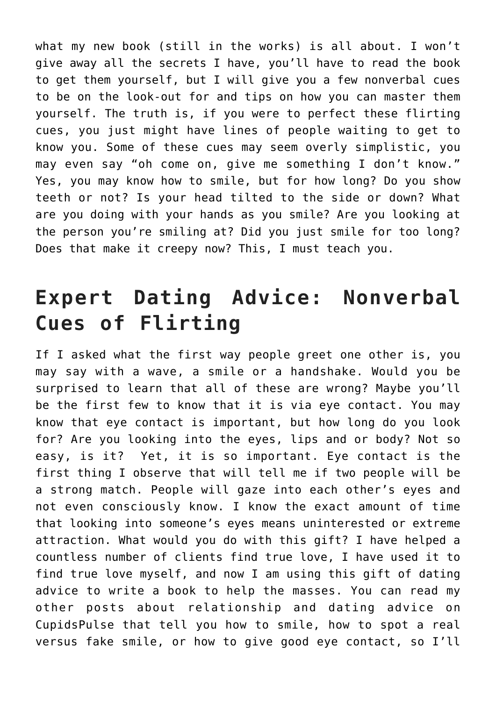what my new book (still in the works) is all about. I won't give away all the secrets I have, you'll have to read the book to get them yourself, but I will give you a few nonverbal cues to be on the look-out for and tips on how you can master them yourself. The truth is, if you were to perfect these flirting cues, you just might have lines of people waiting to get to know you. Some of these cues may seem overly simplistic, you may even say "oh come on, give me something I don't know." Yes, you may know how to smile, but for how long? Do you show teeth or not? Is your head tilted to the side or down? What are you doing with your hands as you smile? Are you looking at the person you're smiling at? Did you just smile for too long? Does that make it creepy now? This, I must teach you.

### **Expert Dating Advice: Nonverbal Cues of Flirting**

If I asked what the first way people greet one other is, you may say with a wave, a smile or a handshake. Would you be surprised to learn that all of these are wrong? Maybe you'll be the first few to know that it is via eye contact. You may know that eye contact is important, but how long do you look for? Are you looking into the eyes, lips and or body? Not so easy, is it? Yet, it is so important. Eye contact is the first thing I observe that will tell me if two people will be a strong match. People will gaze into each other's eyes and not even consciously know. I know the exact amount of time that looking into someone's eyes means uninterested or extreme attraction. What would you do with this gift? I have helped a countless number of clients find true love, I have used it to find true love myself, and now I am using this gift of dating advice to write a book to help the masses. You can read my other posts about relationship and dating advice on CupidsPulse that tell you how to smile, how to spot a real versus fake smile, or how to give good eye contact, so I'll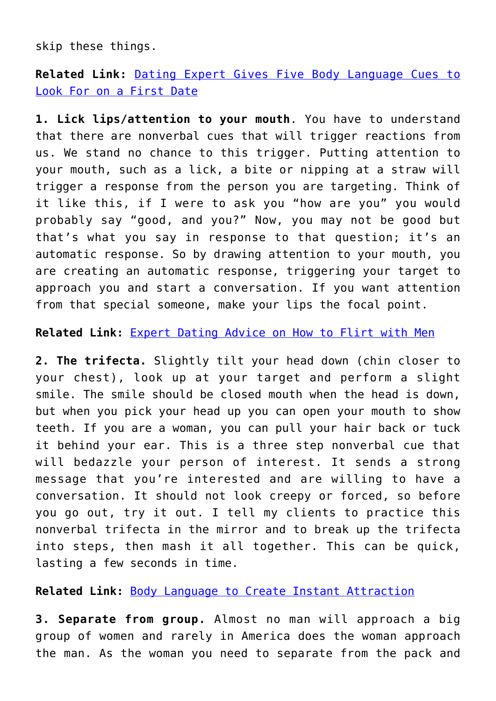skip these things.

**Related Link:** [Dating Expert Gives Five Body Language Cues to](http://cupidspulse.com/93540/dating-expert-body-language-cues-on-first-date/) [Look For on a First Date](http://cupidspulse.com/93540/dating-expert-body-language-cues-on-first-date/)

**1. Lick lips/attention to your mouth**. You have to understand that there are nonverbal cues that will trigger reactions from us. We stand no chance to this trigger. Putting attention to your mouth, such as a lick, a bite or nipping at a straw will trigger a response from the person you are targeting. Think of it like this, if I were to ask you "how are you" you would probably say "good, and you?" Now, you may not be good but that's what you say in response to that question; it's an automatic response. So by drawing attention to your mouth, you are creating an automatic response, triggering your target to approach you and start a conversation. If you want attention from that special someone, make your lips the focal point.

**Related Link:** [Expert Dating Advice on How to Flirt with Men](http://cupidspulse.com/105096/expert-dating-advice-how-to-flirt-with-men/)

**2. The trifecta.** Slightly tilt your head down (chin closer to your chest), look up at your target and perform a slight smile. The smile should be closed mouth when the head is down, but when you pick your head up you can open your mouth to show teeth. If you are a woman, you can pull your hair back or tuck it behind your ear. This is a three step nonverbal cue that will bedazzle your person of interest. It sends a strong message that you're interested and are willing to have a conversation. It should not look creepy or forced, so before you go out, try it out. I tell my clients to practice this nonverbal trifecta in the mirror and to break up the trifecta into steps, then mash it all together. This can be quick, lasting a few seconds in time.

**Related Link:** [Body Language to Create Instant Attraction](http://cupidspulse.com/101353/dating-advice-body-language-create-instant-attraction/)

**3. Separate from group.** Almost no man will approach a big group of women and rarely in America does the woman approach the man. As the woman you need to separate from the pack and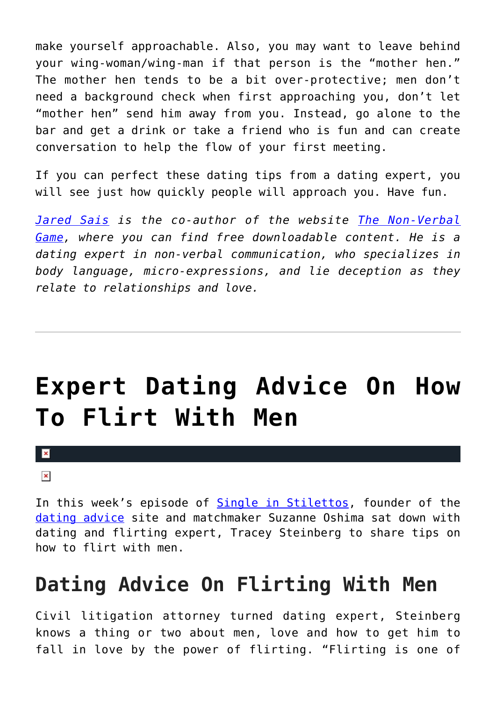make yourself approachable. Also, you may want to leave behind your wing-woman/wing-man if that person is the "mother hen." The mother hen tends to be a bit over-protective; men don't need a background check when first approaching you, don't let "mother hen" send him away from you. Instead, go alone to the bar and get a drink or take a friend who is fun and can create conversation to help the flow of your first meeting.

If you can perfect these dating tips from a dating expert, you will see just how quickly people will approach you. Have fun.

*[Jared Sais](http://cupidspulse.com/experts/jared-sais/) is the co-author of the website [The Non-Verbal](http://www.thenonverbalgame.com/) [Game,](http://www.thenonverbalgame.com/) where you can find free downloadable content. He is a dating expert in non-verbal communication, who specializes in body language, micro-expressions, and lie deception as they relate to relationships and love.*

# **[Expert Dating Advice On How](https://cupidspulse.com/105096/expert-dating-advice-how-to-flirt-with-men/) [To Flirt With Men](https://cupidspulse.com/105096/expert-dating-advice-how-to-flirt-with-men/)**

 $\mathbf{x}$ 

 $\pmb{\times}$ 

In this week's episode of [Single in Stilettos,](http://www.singleinstilettos.com/) founder of the [dating advice](http://cupidspulse.com/dating/date-ideas/) site and matchmaker Suzanne Oshima sat down with dating and flirting expert, Tracey Steinberg to share tips on how to flirt with men.

## **Dating Advice On Flirting With Men**

Civil litigation attorney turned dating expert, Steinberg knows a thing or two about men, love and how to get him to fall in love by the power of flirting. "Flirting is one of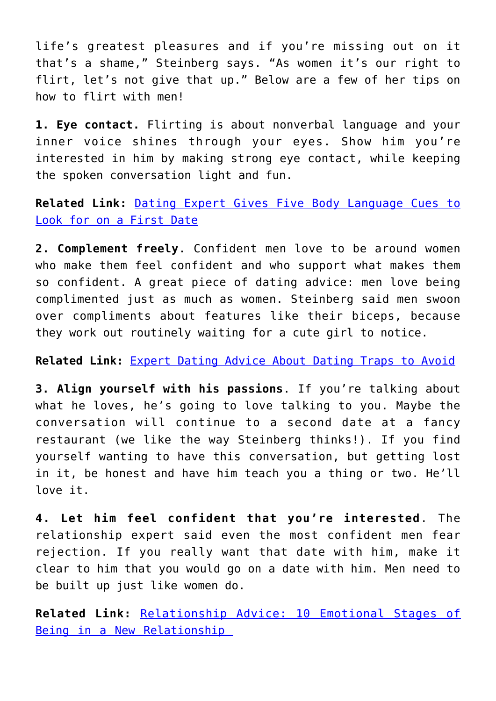life's greatest pleasures and if you're missing out on it that's a shame," Steinberg says. "As women it's our right to flirt, let's not give that up." Below are a few of her tips on how to flirt with men!

**1. Eye contact.** Flirting is about nonverbal language and your inner voice shines through your eyes. Show him you're interested in him by making strong eye contact, while keeping the spoken conversation light and fun.

**Related Link:** [Dating Expert Gives Five Body Language Cues to](http://cupidspulse.com/93540/dating-expert-body-language-cues-on-first-date/) [Look for on a First Date](http://cupidspulse.com/93540/dating-expert-body-language-cues-on-first-date/)

**2. Complement freely**. Confident men love to be around women who make them feel confident and who support what makes them so confident. A great piece of dating advice: men love being complimented just as much as women. Steinberg said men swoon over compliments about features like their biceps, because they work out routinely waiting for a cute girl to notice.

**Related Link:** [Expert Dating Advice About Dating Traps to Avoid](http://cupidspulse.com/104918/expert-dating-advice-david-steele-dating-traps-to-avoid/)

**3. Align yourself with his passions**. If you're talking about what he loves, he's going to love talking to you. Maybe the conversation will continue to a second date at a fancy restaurant (we like the way Steinberg thinks!). If you find yourself wanting to have this conversation, but getting lost in it, be honest and have him teach you a thing or two. He'll love it.

**4. Let him feel confident that you're interested**. The relationship expert said even the most confident men fear rejection. If you really want that date with him, make it clear to him that you would go on a date with him. Men need to be built up just like women do.

**Related Link:** [Relationship Advice: 10 Emotional Stages of](http://cupidspulse.com/104694/relationship-advice-10-emotional-stages-of-being-in-a-new-relationship/) [Being in a New Relationship](http://cupidspulse.com/104694/relationship-advice-10-emotional-stages-of-being-in-a-new-relationship/)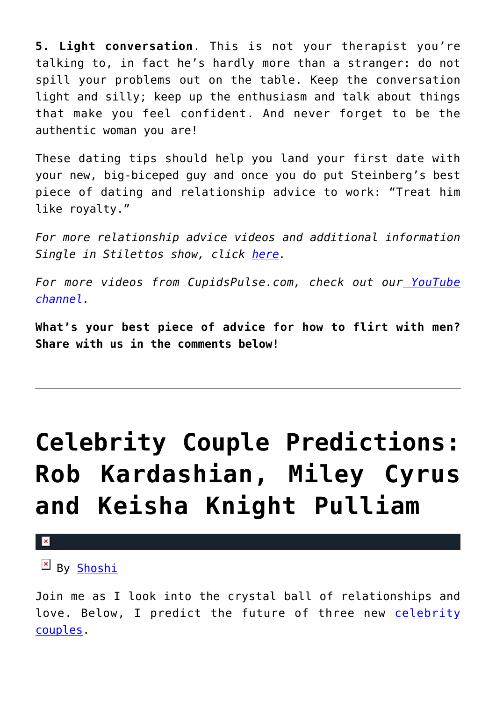**5. Light conversation**. This is not your therapist you're talking to, in fact he's hardly more than a stranger: do not spill your problems out on the table. Keep the conversation light and silly; keep up the enthusiasm and talk about things that make you feel confident. And never forget to be the authentic woman you are!

These dating tips should help you land your first date with your new, big-biceped guy and once you do put Steinberg's best piece of dating and relationship advice to work: "Treat him like royalty."

*For more relationship advice videos and additional information Single in Stilettos show, click [here](http://www.singleinstilettos.com/).*

*For more videos from CupidsPulse.com, check out our [YouTube](https://www.youtube.com/watch?v=3-5zn0Vbqk4) [channel](https://www.youtube.com/watch?v=3-5zn0Vbqk4).*

**What's your best piece of advice for how to flirt with men? Share with us in the comments below!** 

# **[Celebrity Couple Predictions:](https://cupidspulse.com/104852/celebrity-couple-predictions-rob-kardashian-miley-cyrus-keisha-knight-pulliam/) [Rob Kardashian, Miley Cyrus](https://cupidspulse.com/104852/celebrity-couple-predictions-rob-kardashian-miley-cyrus-keisha-knight-pulliam/) [and Keisha Knight Pulliam](https://cupidspulse.com/104852/celebrity-couple-predictions-rob-kardashian-miley-cyrus-keisha-knight-pulliam/)**

 $\pmb{\times}$ 

By [Shoshi](https://about.me/yolandashoshana)

Join me as I look into the crystal ball of relationships and love. Below, I predict the future of three new [celebrity](http://cupidspulse.com/celebrity-relationships/long-term-relationships-flings/) [couples](http://cupidspulse.com/celebrity-relationships/long-term-relationships-flings/).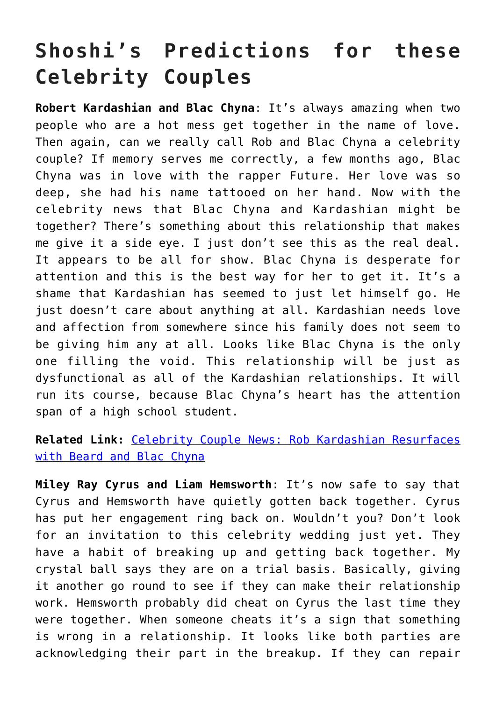## **Shoshi's Predictions for these Celebrity Couples**

**Robert Kardashian and Blac Chyna**: It's always amazing when two people who are a hot mess get together in the name of love. Then again, can we really call Rob and Blac Chyna a celebrity couple? If memory serves me correctly, a few months ago, Blac Chyna was in love with the rapper Future. Her love was so deep, she had his name tattooed on her hand. Now with the celebrity news that Blac Chyna and Kardashian might be together? There's something about this relationship that makes me give it a side eye. I just don't see this as the real deal. It appears to be all for show. Blac Chyna is desperate for attention and this is the best way for her to get it. It's a shame that Kardashian has seemed to just let himself go. He just doesn't care about anything at all. Kardashian needs love and affection from somewhere since his family does not seem to be giving him any at all. Looks like Blac Chyna is the only one filling the void. This relationship will be just as dysfunctional as all of the Kardashian relationships. It will run its course, because Blac Chyna's heart has the attention span of a high school student.

### **Related Link:** [Celebrity Couple News: Rob Kardashian Resurfaces](http://cupidspulse.com/104545/celebrity-couple-news-rob-kardashian-resurfaces-blac-chyna/) [with Beard and Blac Chyna](http://cupidspulse.com/104545/celebrity-couple-news-rob-kardashian-resurfaces-blac-chyna/)

**Miley Ray Cyrus and Liam Hemsworth**: It's now safe to say that Cyrus and Hemsworth have quietly gotten back together. Cyrus has put her engagement ring back on. Wouldn't you? Don't look for an invitation to this celebrity wedding just yet. They have a habit of breaking up and getting back together. My crystal ball says they are on a trial basis. Basically, giving it another go round to see if they can make their relationship work. Hemsworth probably did cheat on Cyrus the last time they were together. When someone cheats it's a sign that something is wrong in a relationship. It looks like both parties are acknowledging their part in the breakup. If they can repair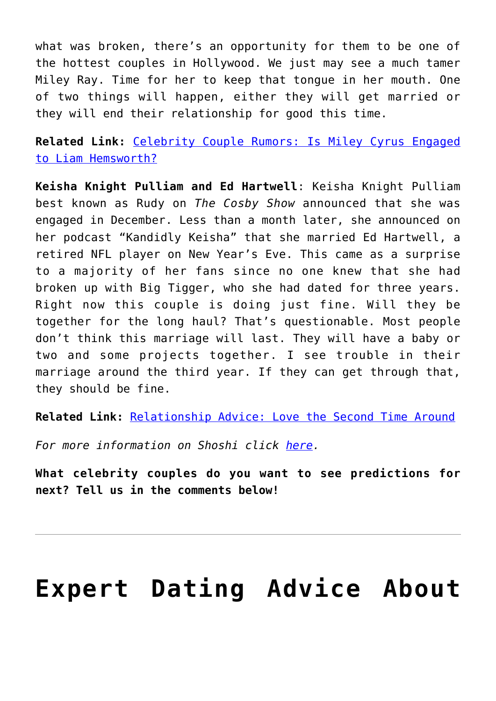what was broken, there's an opportunity for them to be one of the hottest couples in Hollywood. We just may see a much tamer Miley Ray. Time for her to keep that tongue in her mouth. One of two things will happen, either they will get married or they will end their relationship for good this time.

**Related Link:** [Celebrity Couple Rumors: Is Miley Cyrus Engaged](http://cupidspulse.com/104366/celebrity-couple-miley-cyrus-liam-hemsworth-engagement-rumors/) [to Liam Hemsworth?](http://cupidspulse.com/104366/celebrity-couple-miley-cyrus-liam-hemsworth-engagement-rumors/)

**Keisha Knight Pulliam and Ed Hartwell**: Keisha Knight Pulliam best known as Rudy on *The Cosby Show* announced that she was engaged in December. Less than a month later, she announced on her podcast "Kandidly Keisha" that she married Ed Hartwell, a retired NFL player on New Year's Eve. This came as a surprise to a majority of her fans since no one knew that she had broken up with Big Tigger, who she had dated for three years. Right now this couple is doing just fine. Will they be together for the long haul? That's questionable. Most people don't think this marriage will last. They will have a baby or two and some projects together. I see trouble in their marriage around the third year. If they can get through that, they should be fine.

**Related Link:** [Relationship Advice: Love the Second Time Around](http://cupidspulse.com/104460/relationship-advice-love-second-time-around/)

*For more information on Shoshi click [here.](http://cupidspulse.com/relationship-dating-experts/yolanda-shoshana-shoshi-lifestyle-provocateur/)*

**What celebrity couples do you want to see predictions for next? Tell us in the comments below!**

# **[Expert Dating Advice About](https://cupidspulse.com/104918/expert-dating-advice-david-steele-dating-traps-to-avoid/)**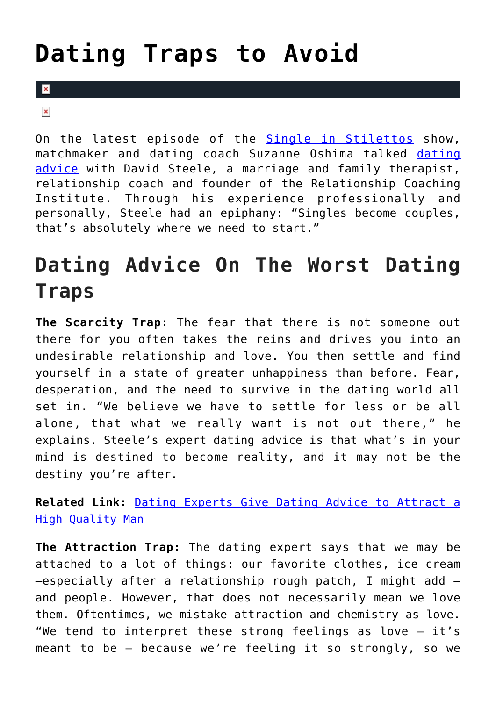## **[Dating Traps to Avoid](https://cupidspulse.com/104918/expert-dating-advice-david-steele-dating-traps-to-avoid/)**

#### $\overline{\mathbf{x}}$

 $\pmb{\times}$ 

On the latest episode of the **[Single in Stilettos](http://www.singleinstilettos.com)** show, matchmaker and dating coach Suzanne Oshima talked [dating](http://cupidspulse.com/dating/date-ideas/) [advice](http://cupidspulse.com/dating/date-ideas/) with David Steele, a marriage and family therapist, relationship coach and founder of the Relationship Coaching Institute. Through his experience professionally and personally, Steele had an epiphany: "Singles become couples, that's absolutely where we need to start."

## **Dating Advice On The Worst Dating Traps**

**The Scarcity Trap:** The fear that there is not someone out there for you often takes the reins and drives you into an undesirable relationship and love. You then settle and find yourself in a state of greater unhappiness than before. Fear, desperation, and the need to survive in the dating world all set in. "We believe we have to settle for less or be all alone, that what we really want is not out there," he explains. Steele's expert dating advice is that what's in your mind is destined to become reality, and it may not be the destiny you're after.

**Related Link:** [Dating Experts Give Dating Advice to Attract a](http://cupidspulse.com/104627/dating-experts-relationship-advice-attract-high-quality-men/) [High Quality Man](http://cupidspulse.com/104627/dating-experts-relationship-advice-attract-high-quality-men/)

**The Attraction Trap:** The dating expert says that we may be attached to a lot of things: our favorite clothes, ice cream –especially after a relationship rough patch, I might add and people. However, that does not necessarily mean we love them. Oftentimes, we mistake attraction and chemistry as love. "We tend to interpret these strong feelings as love — it's meant to be — because we're feeling it so strongly, so we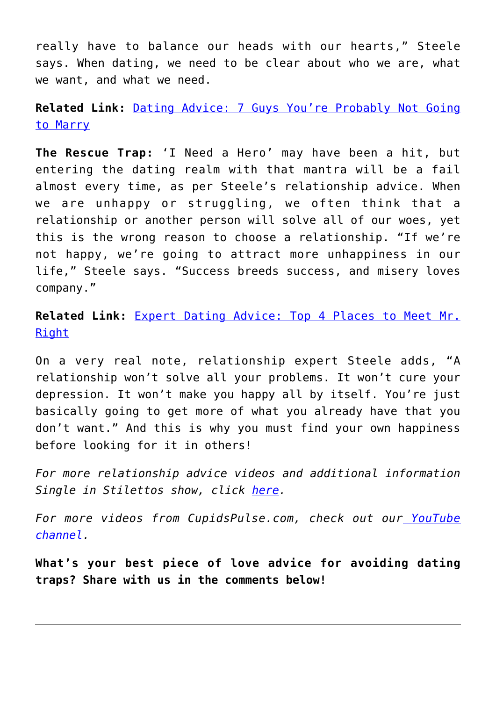really have to balance our heads with our hearts," Steele says. When dating, we need to be clear about who we are, what we want, and what we need.

### **Related Link:** [Dating Advice: 7 Guys You're Probably Not Going](http://cupidspulse.com/103802/dating-advice-guys-not-to-marry/) [to Marry](http://cupidspulse.com/103802/dating-advice-guys-not-to-marry/)

**The Rescue Trap:** 'I Need a Hero' may have been a hit, but entering the dating realm with that mantra will be a fail almost every time, as per Steele's relationship advice. When we are unhappy or struggling, we often think that a relationship or another person will solve all of our woes, yet this is the wrong reason to choose a relationship. "If we're not happy, we're going to attract more unhappiness in our life," Steele says. "Success breeds success, and misery loves company."

**Related Link:** [Expert Dating Advice: Top 4 Places to Meet Mr.](http://cupidspulse.com/101994/expert-dating-advice-top-place-to-meet-mr-right-duana-welch/) **[Right](http://cupidspulse.com/101994/expert-dating-advice-top-place-to-meet-mr-right-duana-welch/)** 

On a very real note, relationship expert Steele adds, "A relationship won't solve all your problems. It won't cure your depression. It won't make you happy all by itself. You're just basically going to get more of what you already have that you don't want." And this is why you must find your own happiness before looking for it in others!

*For more relationship advice videos and additional information Single in Stilettos show, click [here](http://www.singleinstilettos.com/).*

*For more videos from CupidsPulse.com, check out our [YouTube](https://www.youtube.com/watch?v=3-5zn0Vbqk4) [channel](https://www.youtube.com/watch?v=3-5zn0Vbqk4).*

**What's your best piece of love advice for avoiding dating traps? Share with us in the comments below!**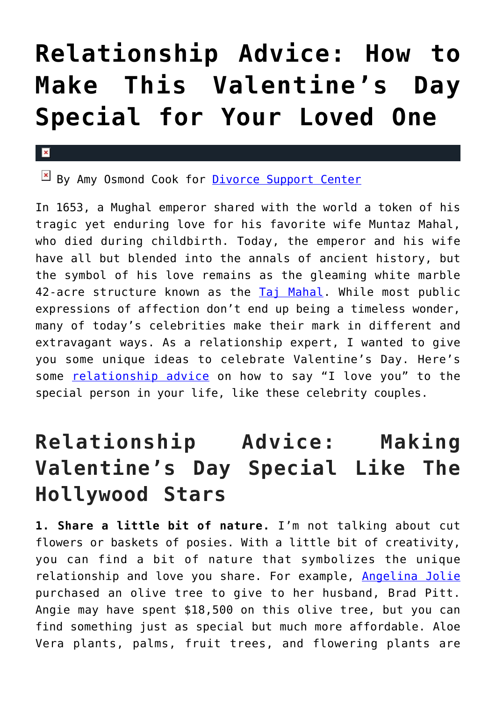# **[Relationship Advice: How to](https://cupidspulse.com/104856/relationship-advice-how-to-make-this-valentines-day-special-for-your-loved-one/) [Make This Valentine's Day](https://cupidspulse.com/104856/relationship-advice-how-to-make-this-valentines-day-special-for-your-loved-one/) [Special for Your Loved One](https://cupidspulse.com/104856/relationship-advice-how-to-make-this-valentines-day-special-for-your-loved-one/)**

#### $\mathbf x$

By Amy Osmond Cook for [Divorce Support Center](http://www.divorcesupportcenter.com/)

In 1653, a Mughal emperor shared with the world a token of his tragic yet enduring love for his favorite wife Muntaz Mahal, who died during childbirth. Today, the emperor and his wife have all but blended into the annals of ancient history, but the symbol of his love remains as the gleaming white marble 42-acre structure known as the [Taj Mahal.](http://tajmahal.com/1/history/taj-mahal-history.htm) While most public expressions of affection don't end up being a timeless wonder, many of today's celebrities make their mark in different and extravagant ways. As a relationship expert, I wanted to give you some unique ideas to celebrate Valentine's Day. Here's some [relationship advice](http://cupidspulse.com/relationship-experts/) on how to say "I love you" to the special person in your life, like these celebrity couples.

### **Relationship Advice: Making Valentine's Day Special Like The Hollywood Stars**

**1. Share a little bit of nature.** I'm not talking about cut flowers or baskets of posies. With a little bit of creativity, you can find a bit of nature that symbolizes the unique relationship and love you share. For example, [Angelina Jolie](http://www.people.com/article/angelina-jolie-brad-pitt-handwritten-love-letters-unbroken-fury) purchased an olive tree to give to her husband, Brad Pitt. Angie may have spent \$18,500 on this olive tree, but you can find something just as special but much more affordable. Aloe Vera plants, palms, fruit trees, and flowering plants are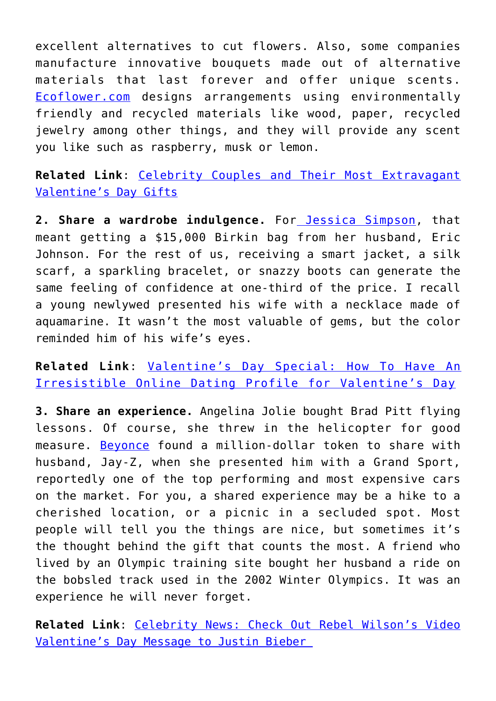excellent alternatives to cut flowers. Also, some companies manufacture innovative bouquets made out of alternative materials that last forever and offer unique scents. [Ecoflower.com](http://ecoflower.com/) designs arrangements using environmentally friendly and recycled materials like wood, paper, recycled jewelry among other things, and they will provide any scent you like such as raspberry, musk or lemon.

**Related Link**: [Celebrity Couples and Their Most Extravagant](http://cupidspulse.com/104587/celebrity-couples-and-their-most-extravagant-valentines-day-gifts/) [Valentine's Day Gifts](http://cupidspulse.com/104587/celebrity-couples-and-their-most-extravagant-valentines-day-gifts/)

**2. Share a wardrobe indulgence.** For [Jessica Simpson](http://www.usmagazine.com/celebrity-news/news/jessica-simpson-gushes-about-husband-eric-johnson-with-cute-photos-2014217), that meant getting a \$15,000 Birkin bag from her husband, Eric Johnson. For the rest of us, receiving a smart jacket, a silk scarf, a sparkling bracelet, or snazzy boots can generate the same feeling of confidence at one-third of the price. I recall a young newlywed presented his wife with a necklace made of aquamarine. It wasn't the most valuable of gems, but the color reminded him of his wife's eyes.

**Related Link**: [Valentine's Day Special: How To Have An](http://cupidspulse.com/10343/how-to-have-an-irresistible-online-dating-profile-for-valentines-day/) [Irresistible Online Dating Profile for Valentine's Day](http://cupidspulse.com/10343/how-to-have-an-irresistible-online-dating-profile-for-valentines-day/)

**3. Share an experience.** Angelina Jolie bought Brad Pitt flying lessons. Of course, she threw in the helicopter for good measure. [Beyonce](http://www.msn.com/en-us/music/news/jay-z-sends-beyonce-10000-roses-before-her-super-bowl-performance/ar-BBpdMID?ocid=ansmsnent11) found a million-dollar token to share with husband, Jay-Z, when she presented him with a Grand Sport, reportedly one of the top performing and most expensive cars on the market. For you, a shared experience may be a hike to a cherished location, or a picnic in a secluded spot. Most people will tell you the things are nice, but sometimes it's the thought behind the gift that counts the most. A friend who lived by an Olympic training site bought her husband a ride on the bobsled track used in the 2002 Winter Olympics. It was an experience he will never forget.

**Related Link**: [Celebrity News: Check Out Rebel Wilson's Video](http://cupidspulse.com/104711/celebrity-news-rebel-wilson-video-valentine-message-justin-bieber/) [Valentine's Day Message to Justin Bieber](http://cupidspulse.com/104711/celebrity-news-rebel-wilson-video-valentine-message-justin-bieber/)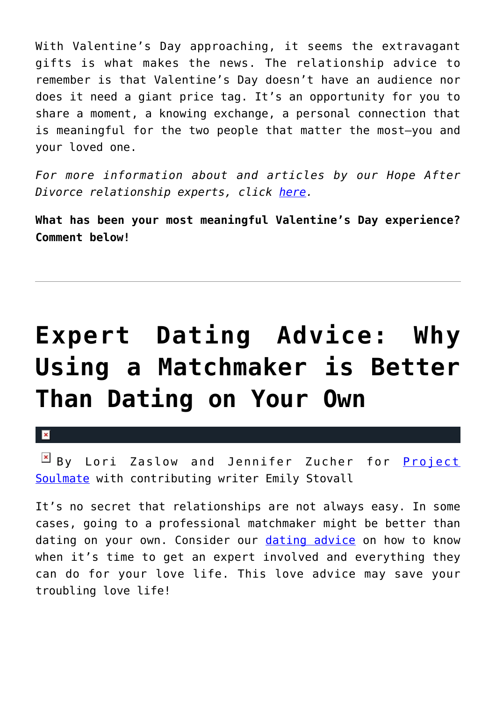With Valentine's Day approaching, it seems the extravagant gifts is what makes the news. The relationship advice to remember is that Valentine's Day doesn't have an audience nor does it need a giant price tag. It's an opportunity for you to share a moment, a knowing exchange, a personal connection that is meaningful for the two people that matter the most–you and your loved one.

*For more information about and articles by our Hope After Divorce relationship experts, click [here.](http://cupidspulse.com/relationship-dating-experts/hope-after-divorce-relationship-experts/)*

**What has been your most meaningful Valentine's Day experience? Comment below!**

# **[Expert Dating Advice: Why](https://cupidspulse.com/104631/expert-dating-advice-why-matchmaker-versus-dating-on-your-own/) [Using a Matchmaker is Better](https://cupidspulse.com/104631/expert-dating-advice-why-matchmaker-versus-dating-on-your-own/) [Than Dating on Your Own](https://cupidspulse.com/104631/expert-dating-advice-why-matchmaker-versus-dating-on-your-own/)**

 $\pmb{\times}$ 

By Lori Zaslow and Jennifer Zucher for **[Project](http://www.projectsoulmate.com/)** [Soulmate](http://www.projectsoulmate.com/) with contributing writer Emily Stovall

It's no secret that relationships are not always easy. In some cases, going to a professional matchmaker might be better than dating on your own. Consider our [dating advice](http://cupidspulse.com/dating/date-ideas/) on how to know when it's time to get an expert involved and everything they can do for your love life. This love advice may save your troubling love life!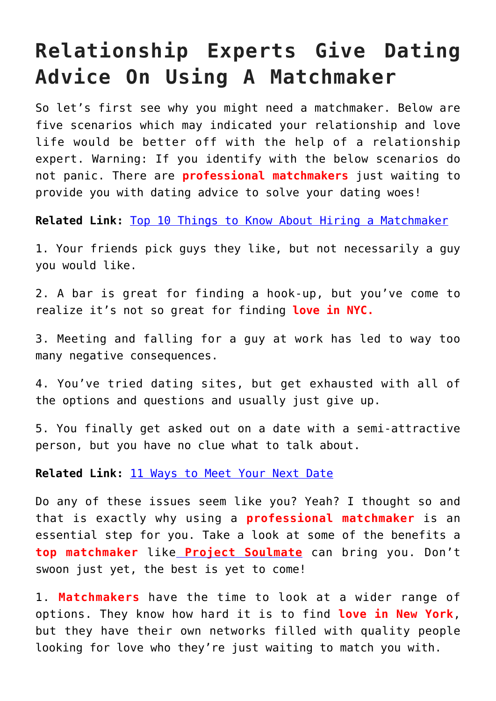## **Relationship Experts Give Dating Advice On Using A Matchmaker**

So let's first see why you might need a matchmaker. Below are five scenarios which may indicated your relationship and love life would be better off with the help of a relationship expert. Warning: If you identify with the below scenarios do not panic. There are **professional matchmakers** just waiting to provide you with dating advice to solve your dating woes!

**Related Link:** [Top 10 Things to Know About Hiring a Matchmaker](http://cupidspulse.com/51944/melanie-mar-10-things-about-hiring-matchmaker/)

1. Your friends pick guys they like, but not necessarily a guy you would like.

2. A bar is great for finding a hook-up, but you've come to realize it's not so great for finding **love in NYC.**

3. Meeting and falling for a guy at work has led to way too many negative consequences.

4. You've tried dating sites, but get exhausted with all of the options and questions and usually just give up.

5. You finally get asked out on a date with a semi-attractive person, but you have no clue what to talk about.

Related Link: [11 Ways to Meet Your Next Date](http://cupidspulse.com/45347/11-ways-meet-next-date/)

Do any of these issues seem like you? Yeah? I thought so and that is exactly why using a **professional matchmaker** is an essential step for you. Take a look at some of the benefits a **top matchmaker** like **[Project Soulmate](http://www.projectsoulmate.com/)** can bring you. Don't swoon just yet, the best is yet to come!

1. **Matchmakers** have the time to look at a wider range of options. They know how hard it is to find **love in New York**, but they have their own networks filled with quality people looking for love who they're just waiting to match you with.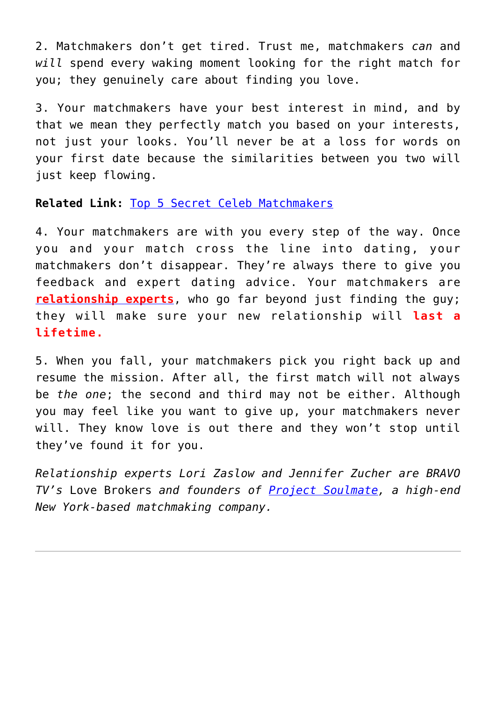2. Matchmakers don't get tired. Trust me, matchmakers *can* and *will* spend every waking moment looking for the right match for you; they genuinely care about finding you love.

3. Your matchmakers have your best interest in mind, and by that we mean they perfectly match you based on your interests, not just your looks. You'll never be at a loss for words on your first date because the similarities between you two will just keep flowing.

**Related Link:** [Top 5 Secret Celeb Matchmakers](http://cupidspulse.com/98928/secret-celeb-matchmakers/)

4. Your matchmakers are with you every step of the way. Once you and your match cross the line into dating, your matchmakers don't disappear. They're always there to give you feedback and expert dating advice. Your matchmakers are **[relationship experts](http://www.projectsoulmate.com/nyc-matchmakers-clients/)**, who go far beyond just finding the guy; they will make sure your new relationship will **last a lifetime.**

5. When you fall, your matchmakers pick you right back up and resume the mission. After all, the first match will not always be *the one*; the second and third may not be either. Although you may feel like you want to give up, your matchmakers never will. They know love is out there and they won't stop until they've found it for you.

*Relationship experts Lori Zaslow and Jennifer Zucher are BRAVO TV's* Love Brokers *and founders of [Project Soulmate](http://cupidspulse.com/relationship-dating-experts/lori-zaslow-jennifer-zucher-project-soulmate/), a high-end New York-based matchmaking company.*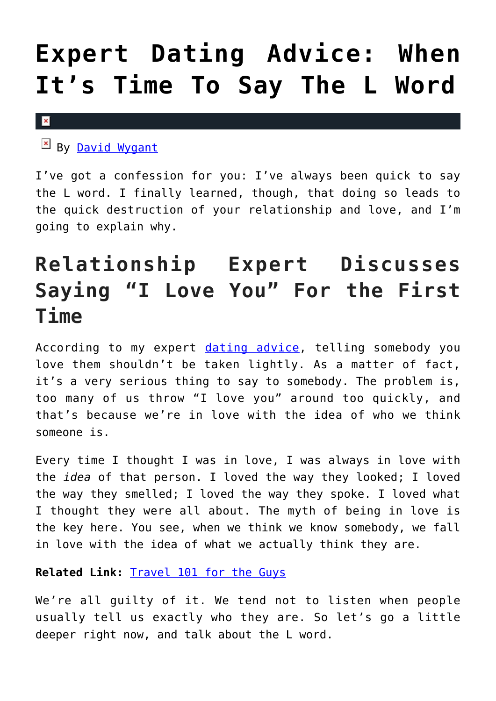## **[Expert Dating Advice: When](https://cupidspulse.com/104522/expert-dating-advice-when-its-time-to-say-the-l-word/) [It's Time To Say The L Word](https://cupidspulse.com/104522/expert-dating-advice-when-its-time-to-say-the-l-word/)**

#### $\mathbf x$

 $By$  [David Wygant](http://cupidspulse.com/relationship-dating-experts/david-wygant-dating-coach/)

I've got a confession for you: I've always been quick to say the L word. I finally learned, though, that doing so leads to the quick destruction of your relationship and love, and I'm going to explain why.

### **Relationship Expert Discusses Saying "I Love You" For the First Time**

According to my expert [dating advice,](http://cupidspulse.com/dating/date-ideas/) telling somebody you love them shouldn't be taken lightly. As a matter of fact, it's a very serious thing to say to somebody. The problem is, too many of us throw "I love you" around too quickly, and that's because we're in love with the idea of who we think someone is.

Every time I thought I was in love, I was always in love with the *idea* of that person. I loved the way they looked; I loved the way they smelled; I loved the way they spoke. I loved what I thought they were all about. The myth of being in love is the key here. You see, when we think we know somebody, we fall in love with the idea of what we actually think they are.

**Related Link:** [Travel 101 for the Guys](http://cupidspulse.com/101757/expert-relationship-advice-travel-101/)

We're all guilty of it. We tend not to listen when people usually tell us exactly who they are. So let's go a little deeper right now, and talk about the L word.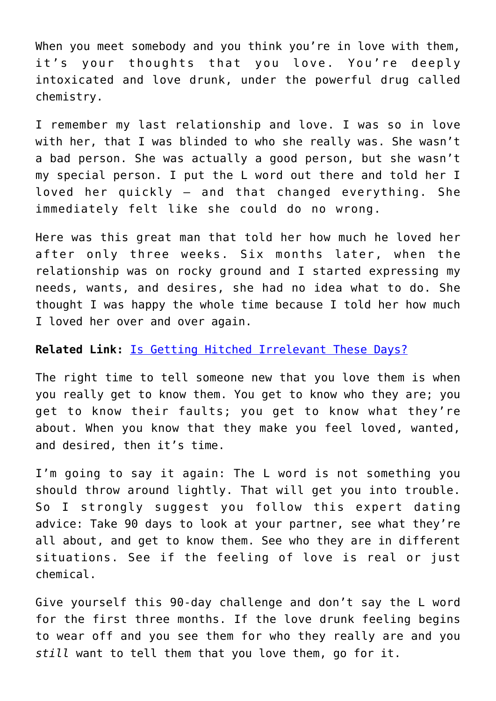When you meet somebody and you think you're in love with them, it's your thoughts that you love. You're deeply intoxicated and love drunk, under the powerful drug called chemistry.

I remember my last relationship and love. I was so in love with her, that I was blinded to who she really was. She wasn't a bad person. She was actually a good person, but she wasn't my special person. I put the L word out there and told her I loved her quickly — and that changed everything. She immediately felt like she could do no wrong.

Here was this great man that told her how much he loved her after only three weeks. Six months later, when the relationship was on rocky ground and I started expressing my needs, wants, and desires, she had no idea what to do. She thought I was happy the whole time because I told her how much I loved her over and over again.

#### **Related Link:** [Is Getting Hitched Irrelevant These Days?](http://cupidspulse.com/93105/expert-relationship-advice-is-marriage-irrelevant/)

The right time to tell someone new that you love them is when you really get to know them. You get to know who they are; you get to know their faults; you get to know what they're about. When you know that they make you feel loved, wanted, and desired, then it's time.

I'm going to say it again: The L word is not something you should throw around lightly. That will get you into trouble. So I strongly suggest you follow this expert dating advice: Take 90 days to look at your partner, see what they're all about, and get to know them. See who they are in different situations. See if the feeling of love is real or just chemical.

Give yourself this 90-day challenge and don't say the L word for the first three months. If the love drunk feeling begins to wear off and you see them for who they really are and you *still* want to tell them that you love them, go for it.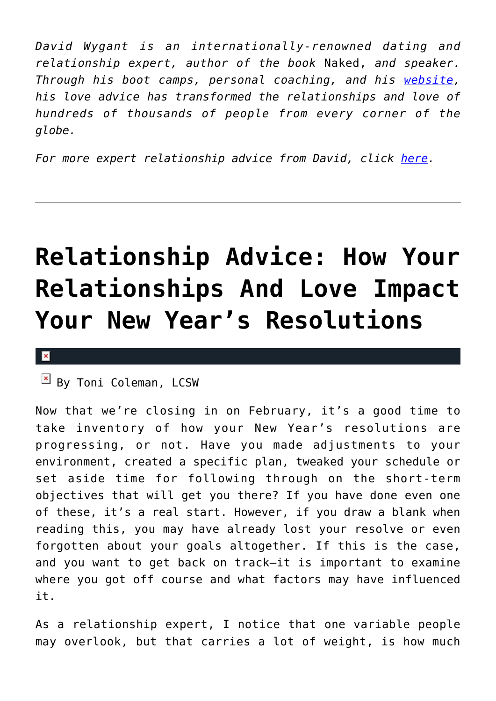*David Wygant is an internationally-renowned dating and relationship expert, author of the book* Naked, *and speaker. Through his boot camps, personal coaching, and his [website,](http://www.davidwygant.com/) his love advice has transformed the relationships and love of hundreds of thousands of people from every corner of the globe.* 

*For more expert relationship advice from David, click [here.](http://cupidspulse.com/relationship-dating-experts/david-wygant-dating-coach/)* 

## **[Relationship Advice: How Your](https://cupidspulse.com/104494/relationship-advice-relationships-and-love-new-years-resolutions/) [Relationships And Love Impact](https://cupidspulse.com/104494/relationship-advice-relationships-and-love-new-years-resolutions/) [Your New Year's Resolutions](https://cupidspulse.com/104494/relationship-advice-relationships-and-love-new-years-resolutions/)**

#### x

 $\boxed{\mathbf{x}}$  By Toni Coleman, LCSW

Now that we're closing in on February, it's a good time to take inventory of how your New Year's resolutions are progressing, or not. Have you made adjustments to your environment, created a specific plan, tweaked your schedule or set aside time for following through on the short-term objectives that will get you there? If you have done even one of these, it's a real start. However, if you draw a blank when reading this, you may have already lost your resolve or even forgotten about your goals altogether. If this is the case, and you want to get back on track—it is important to examine where you got off course and what factors may have influenced it.

As a relationship expert, I notice that one variable people may overlook, but that carries a lot of weight, is how much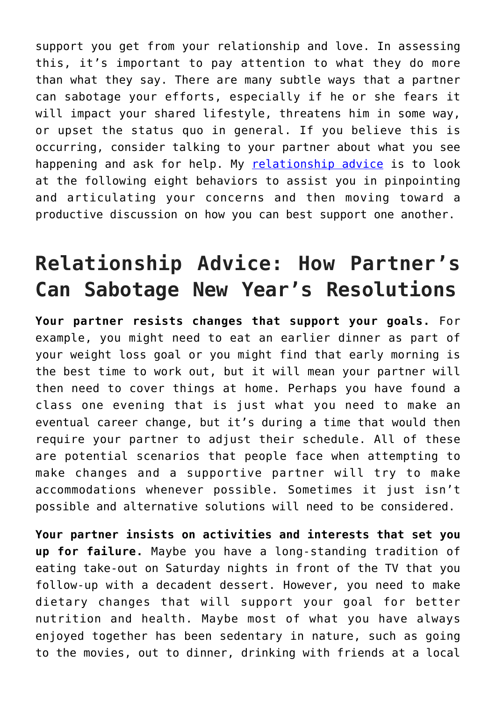support you get from your relationship and love. In assessing this, it's important to pay attention to what they do more than what they say. There are many subtle ways that a partner can sabotage your efforts, especially if he or she fears it will impact your shared lifestyle, threatens him in some way, or upset the status quo in general. If you believe this is occurring, consider talking to your partner about what you see happening and ask for help. My [relationship advice](http://cupidspulse.com/relationship-experts/) is to look at the following eight behaviors to assist you in pinpointing and articulating your concerns and then moving toward a productive discussion on how you can best support one another.

## **Relationship Advice: How Partner's Can Sabotage New Year's Resolutions**

**Your partner resists changes that support your goals.** For example, you might need to eat an earlier dinner as part of your weight loss goal or you might find that early morning is the best time to work out, but it will mean your partner will then need to cover things at home. Perhaps you have found a class one evening that is just what you need to make an eventual career change, but it's during a time that would then require your partner to adjust their schedule. All of these are potential scenarios that people face when attempting to make changes and a supportive partner will try to make accommodations whenever possible. Sometimes it just isn't possible and alternative solutions will need to be considered.

**Your partner insists on activities and interests that set you up for failure.** Maybe you have a long-standing tradition of eating take-out on Saturday nights in front of the TV that you follow-up with a decadent dessert. However, you need to make dietary changes that will support your goal for better nutrition and health. Maybe most of what you have always enjoyed together has been sedentary in nature, such as going to the movies, out to dinner, drinking with friends at a local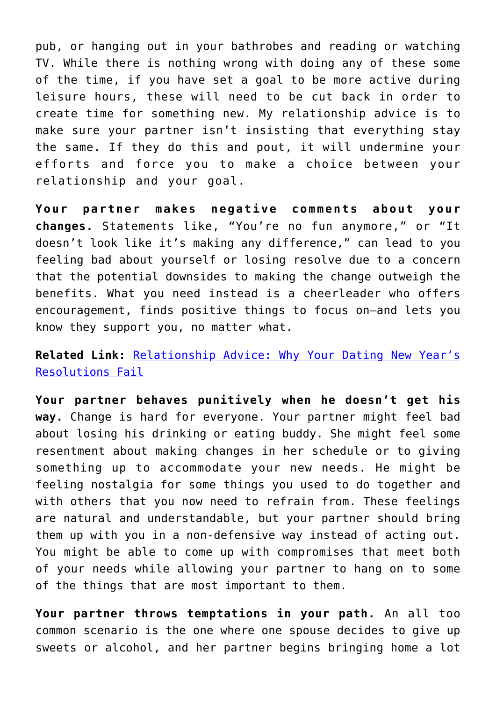pub, or hanging out in your bathrobes and reading or watching TV. While there is nothing wrong with doing any of these some of the time, if you have set a goal to be more active during leisure hours, these will need to be cut back in order to create time for something new. My relationship advice is to make sure your partner isn't insisting that everything stay the same. If they do this and pout, it will undermine your efforts and force you to make a choice between your relationship and your goal.

**Your partner makes negative comments about your changes.** Statements like, "You're no fun anymore," or "It doesn't look like it's making any difference," can lead to you feeling bad about yourself or losing resolve due to a concern that the potential downsides to making the change outweigh the benefits. What you need instead is a cheerleader who offers encouragement, finds positive things to focus on—and lets you know they support you, no matter what.

### **Related Link:** [Relationship Advice: Why Your Dating New Year's](http://cupidspulse.com/102918/relationship-advice-new-years-dating-resolutions/) [Resolutions Fail](http://cupidspulse.com/102918/relationship-advice-new-years-dating-resolutions/)

**Your partner behaves punitively when he doesn't get his way.** Change is hard for everyone. Your partner might feel bad about losing his drinking or eating buddy. She might feel some resentment about making changes in her schedule or to giving something up to accommodate your new needs. He might be feeling nostalgia for some things you used to do together and with others that you now need to refrain from. These feelings are natural and understandable, but your partner should bring them up with you in a non-defensive way instead of acting out. You might be able to come up with compromises that meet both of your needs while allowing your partner to hang on to some of the things that are most important to them.

**Your partner throws temptations in your path.** An all too common scenario is the one where one spouse decides to give up sweets or alcohol, and her partner begins bringing home a lot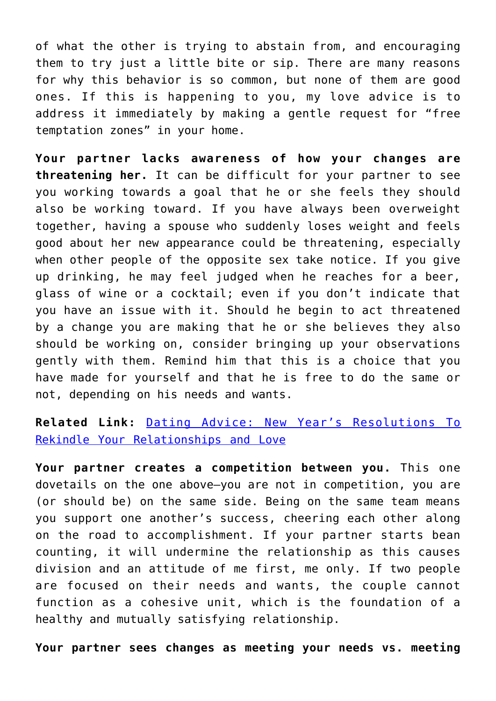of what the other is trying to abstain from, and encouraging them to try just a little bite or sip. There are many reasons for why this behavior is so common, but none of them are good ones. If this is happening to you, my love advice is to address it immediately by making a gentle request for "free temptation zones" in your home.

**Your partner lacks awareness of how your changes are threatening her.** It can be difficult for your partner to see you working towards a goal that he or she feels they should also be working toward. If you have always been overweight together, having a spouse who suddenly loses weight and feels good about her new appearance could be threatening, especially when other people of the opposite sex take notice. If you give up drinking, he may feel judged when he reaches for a beer, glass of wine or a cocktail; even if you don't indicate that you have an issue with it. Should he begin to act threatened by a change you are making that he or she believes they also should be working on, consider bringing up your observations gently with them. Remind him that this is a choice that you have made for yourself and that he is free to do the same or not, depending on his needs and wants.

#### **Related Link:** [Dating Advice: New Year's Resolutions To](http://Dating Advice: New Year’s Resolutions To Rekindle Your Relationships and Love Read more at http://cupidspulse.com/104118/dating-advice-new-years-resolutions-rekindle-relationships-and-love/#FUJvwIMVHyWrrc3M.99) [Rekindle Your Relationships and Love](http://Dating Advice: New Year’s Resolutions To Rekindle Your Relationships and Love Read more at http://cupidspulse.com/104118/dating-advice-new-years-resolutions-rekindle-relationships-and-love/#FUJvwIMVHyWrrc3M.99)

**Your partner creates a competition between you.** This one dovetails on the one above—you are not in competition, you are (or should be) on the same side. Being on the same team means you support one another's success, cheering each other along on the road to accomplishment. If your partner starts bean counting, it will undermine the relationship as this causes division and an attitude of me first, me only. If two people are focused on their needs and wants, the couple cannot function as a cohesive unit, which is the foundation of a healthy and mutually satisfying relationship.

**Your partner sees changes as meeting your needs vs. meeting**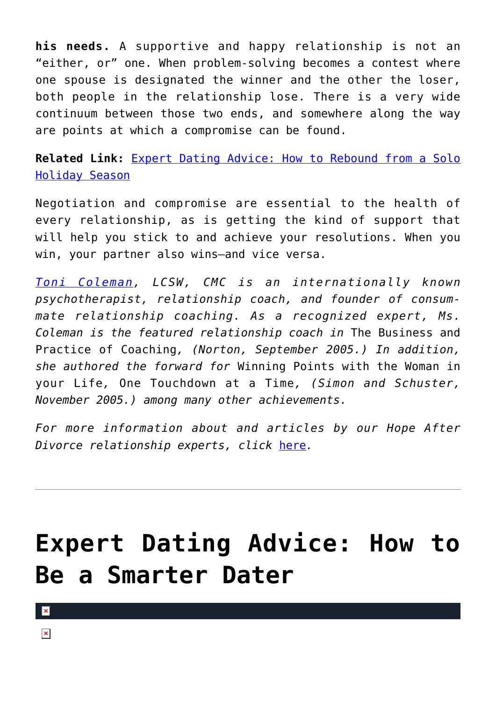**his needs.** A supportive and happy relationship is not an "either, or" one. When problem-solving becomes a contest where one spouse is designated the winner and the other the loser, both people in the relationship lose. There is a very wide continuum between those two ends, and somewhere along the way are points at which a compromise can be found.

**Related Link:** [Expert Dating Advice: How to Rebound from a Solo](http://cupidspulse.com/102067/expert-dating-advice-how-to-rebound-from-a-solo-holiday-season/) [Holiday Season](http://cupidspulse.com/102067/expert-dating-advice-how-to-rebound-from-a-solo-holiday-season/)

Negotiation and compromise are essential to the health of every relationship, as is getting the kind of support that will help you stick to and achieve your resolutions. When you win, your partner also wins—and vice versa.

*[Toni Coleman](http://www.consum-mate.com/index.php), LCSW, CMC is an internationally known psychotherapist, relationship coach, and founder of consummate relationship coaching. As a recognized expert, Ms. Coleman is the featured relationship coach in* The Business and Practice of Coaching*, (Norton, September 2005.) In addition, she authored the forward for* Winning Points with the Woman in your Life*,* One Touchdown at a Time*, (Simon and Schuster, November 2005.) among many other achievements.*

*For more information about and articles by our Hope After Divorce relationship experts, click* [here](http://cupidspulse.com/relationship-dating-experts/hope-after-divorce-relationship-experts/)*.*

## **[Expert Dating Advice: How to](https://cupidspulse.com/104442/expert-dating-advice-how-to-be-a-smarter-dater/) [Be a Smarter Dater](https://cupidspulse.com/104442/expert-dating-advice-how-to-be-a-smarter-dater/)**

×  $\pmb{\times}$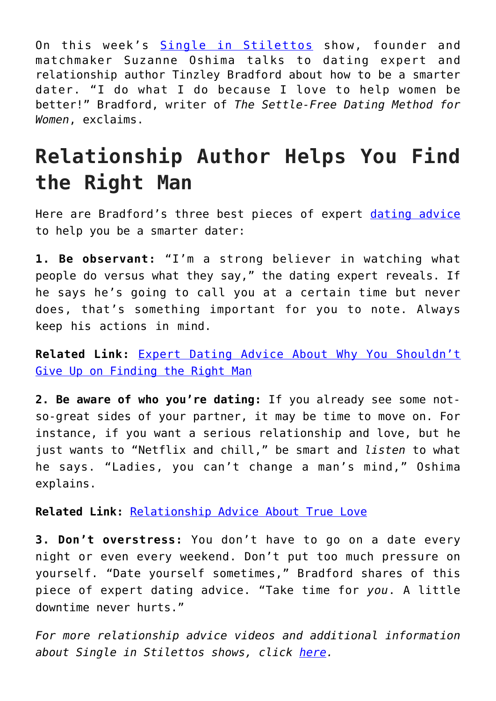On this week's [Single in Stilettos](http://www.singleinstilettos.com) show, founder and matchmaker Suzanne Oshima talks to dating expert and relationship author Tinzley Bradford about how to be a smarter dater. "I do what I do because I love to help women be better!" Bradford, writer of *The Settle-Free Dating Method for Women*, exclaims.

### **Relationship Author Helps You Find the Right Man**

Here are Bradford's three best pieces of expert [dating advice](http://cupidspulse.com/dating/date-ideas/) to help you be a smarter dater:

**1. Be observant:** "I'm a strong believer in watching what people do versus what they say," the dating expert reveals. If he says he's going to call you at a certain time but never does, that's something important for you to note. Always keep his actions in mind.

**Related Link:** [Expert Dating Advice About Why You Shouldn't](http://cupidspulse.com/104093/expert-dating-advice-single-in-stilettos-why-you-shouldnt-give-up-on-finding-the-right-man/) [Give Up on Finding the Right Man](http://cupidspulse.com/104093/expert-dating-advice-single-in-stilettos-why-you-shouldnt-give-up-on-finding-the-right-man/)

**2. Be aware of who you're dating:** If you already see some notso-great sides of your partner, it may be time to move on. For instance, if you want a serious relationship and love, but he just wants to "Netflix and chill," be smart and *listen* to what he says. "Ladies, you can't change a man's mind," Oshima explains.

**Related Link:** [Relationship Advice About True Love](http://cupidspulse.com/101777/relationship-advice-finding-true-relationships-and-love/)

**3. Don't overstress:** You don't have to go on a date every night or even every weekend. Don't put too much pressure on yourself. "Date yourself sometimes," Bradford shares of this piece of expert dating advice. "Take time for *you*. A little downtime never hurts."

*For more relationship advice videos and additional information about Single in Stilettos shows, click [here.](http://cupidspulse.com/suzanne-oshima-single-in-stilettos-shows/)*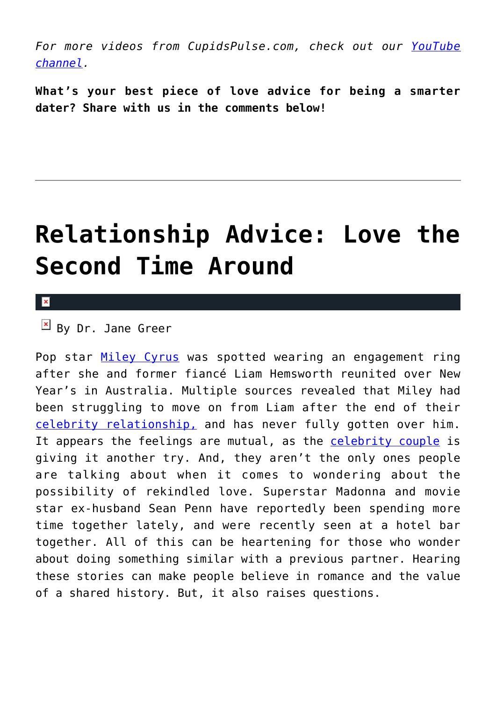*For more videos from CupidsPulse.com, check out our [YouTube](https://www.youtube.com/channel/UCP4G7LiNJEVZ7U0M24qXmfg) [channel](https://www.youtube.com/channel/UCP4G7LiNJEVZ7U0M24qXmfg).*

**What's your best piece of love advice for being a smarter dater? Share with us in the comments below!**

## **[Relationship Advice: Love the](https://cupidspulse.com/104460/relationship-advice-love-second-time-around/) [Second Time Around](https://cupidspulse.com/104460/relationship-advice-love-second-time-around/)**

#### $\mathbf x$

 $By$  Dr. Jane Greer

Pop star [Miley Cyrus](http://cupidspulse.com/86089/miley-cyrus/) was spotted wearing an engagement ring after she and former fiancé Liam Hemsworth reunited over New Year's in Australia. Multiple sources revealed that Miley had been struggling to move on from Liam after the end of their [celebrity relationship,](http://cupidspulse.com/celebrity-relationships/) and has never fully gotten over him. It appears the feelings are mutual, as the [celebrity couple](http://cupidspulse.com/celebrity-relationships/long-term-relationships-f) is giving it another try. And, they aren't the only ones people are talking about when it comes to wondering about the possibility of rekindled love. Superstar Madonna and movie star ex-husband Sean Penn have reportedly been spending more time together lately, and were recently seen at a hotel bar together. All of this can be heartening for those who wonder about doing something similar with a previous partner. Hearing these stories can make people believe in romance and the value of a shared history. But, it also raises questions.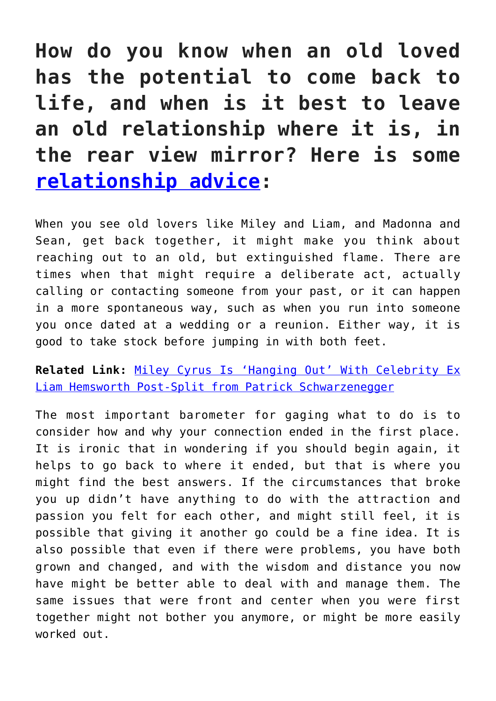**How do you know when an old loved has the potential to come back to life, and when is it best to leave an old relationship where it is, in the rear view mirror? Here is some [relationship advice:](http://cupidspulse.com/relationship-experts/)**

When you see old lovers like Miley and Liam, and Madonna and Sean, get back together, it might make you think about reaching out to an old, but extinguished flame. There are times when that might require a deliberate act, actually calling or contacting someone from your past, or it can happen in a more spontaneous way, such as when you run into someone you once dated at a wedding or a reunion. Either way, it is good to take stock before jumping in with both feet.

**Related Link:** [Miley Cyrus Is 'Hanging Out' With Celebrity Ex](http://cupidspulse.com/92309/miley-cyrus-hanging-celebrity-ex-liam-hemsworth-split-patrick-schwarzenegger/) [Liam Hemsworth Post-Split from Patrick Schwarzenegger](http://cupidspulse.com/92309/miley-cyrus-hanging-celebrity-ex-liam-hemsworth-split-patrick-schwarzenegger/)

The most important barometer for gaging what to do is to consider how and why your connection ended in the first place. It is ironic that in wondering if you should begin again, it helps to go back to where it ended, but that is where you might find the best answers. If the circumstances that broke you up didn't have anything to do with the attraction and passion you felt for each other, and might still feel, it is possible that giving it another go could be a fine idea. It is also possible that even if there were problems, you have both grown and changed, and with the wisdom and distance you now have might be better able to deal with and manage them. The same issues that were front and center when you were first together might not bother you anymore, or might be more easily worked out.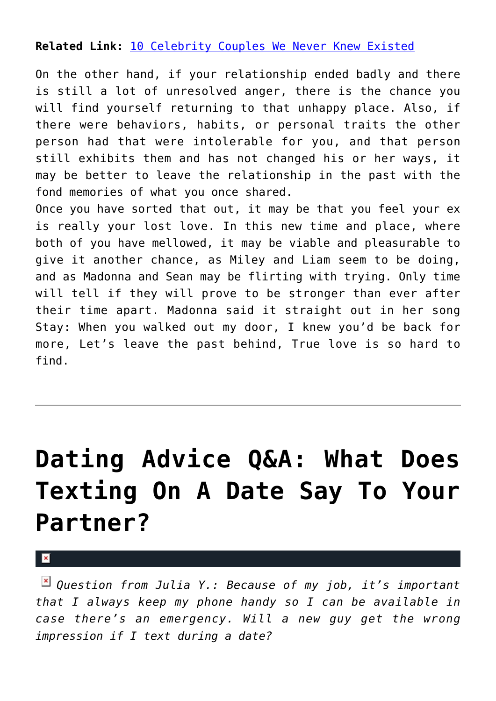#### **Related Link:** [10 Celebrity Couples We Never Knew Existed](http://cupidspulse.com/53727/celebrity-couples-never-knew-existed/)

On the other hand, if your relationship ended badly and there is still a lot of unresolved anger, there is the chance you will find yourself returning to that unhappy place. Also, if there were behaviors, habits, or personal traits the other person had that were intolerable for you, and that person still exhibits them and has not changed his or her ways, it may be better to leave the relationship in the past with the fond memories of what you once shared.

Once you have sorted that out, it may be that you feel your ex is really your lost love. In this new time and place, where both of you have mellowed, it may be viable and pleasurable to give it another chance, as Miley and Liam seem to be doing, and as Madonna and Sean may be flirting with trying. Only time will tell if they will prove to be stronger than ever after their time apart. Madonna said it straight out in her song Stay: When you walked out my door, I knew you'd be back for more, Let's leave the past behind, True love is so hard to find.

# **[Dating Advice Q&A: What Does](https://cupidspulse.com/104310/dating-advice-qa-what-does-texting-on-a-date-say-to-your-partner/) [Texting On A Date Say To Your](https://cupidspulse.com/104310/dating-advice-qa-what-does-texting-on-a-date-say-to-your-partner/) [Partner?](https://cupidspulse.com/104310/dating-advice-qa-what-does-texting-on-a-date-say-to-your-partner/)**

 $\mathbf{x}$ 

*Question from Julia Y.: Because of my job, it's important that I always keep my phone handy so I can be available in case there's an emergency. Will a new guy get the wrong impression if I text during a date?*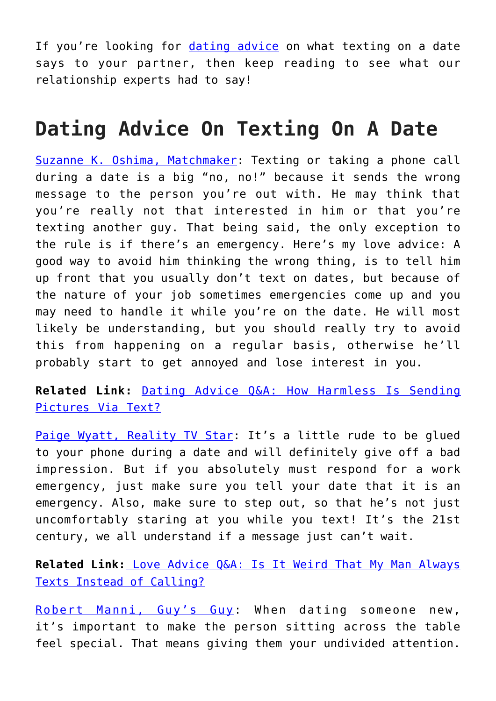If you're looking for [dating advice](http://cupidspulse.com/dating/date-ideas/) on what texting on a date says to your partner, then keep reading to see what our relationship experts had to say!

### **Dating Advice On Texting On A Date**

[Suzanne K. Oshima, Matchmaker:](http://www.dreambachelor.com/) Texting or taking a phone call during a date is a big "no, no!" because it sends the wrong message to the person you're out with. He may think that you're really not that interested in him or that you're texting another guy. That being said, the only exception to the rule is if there's an emergency. Here's my love advice: A good way to avoid him thinking the wrong thing, is to tell him up front that you usually don't text on dates, but because of the nature of your job sometimes emergencies come up and you may need to handle it while you're on the date. He will most likely be understanding, but you should really try to avoid this from happening on a regular basis, otherwise he'll probably start to get annoyed and lose interest in you.

**Related Link:** [Dating Advice Q&A: How Harmless Is Sending](http://cupidspulse.com/102471/dating-advice-qa-how-harmless-is-sending-pictures-via-text/) [Pictures Via Text?](http://cupidspulse.com/102471/dating-advice-qa-how-harmless-is-sending-pictures-via-text/)

[Paige Wyatt, Reality TV Star](http://www.everythingwyatt.com/): It's a little rude to be glued to your phone during a date and will definitely give off a bad impression. But if you absolutely must respond for a work emergency, just make sure you tell your date that it is an emergency. Also, make sure to step out, so that he's not just uncomfortably staring at you while you text! It's the 21st century, we all understand if a message just can't wait.

### **Related Link:** [Love Advice Q&A: Is It Weird That My Man Always](http://cupidspulse.com/88642/love-advice-texting-instead-of-calling-dating-experts/) [Texts Instead of Calling?](http://cupidspulse.com/88642/love-advice-texting-instead-of-calling-dating-experts/)

[Robert Manni, Guy's Guy](http://www.robertmanni.com/): When dating someone new, it's important to make the person sitting across the table feel special. That means giving them your undivided attention.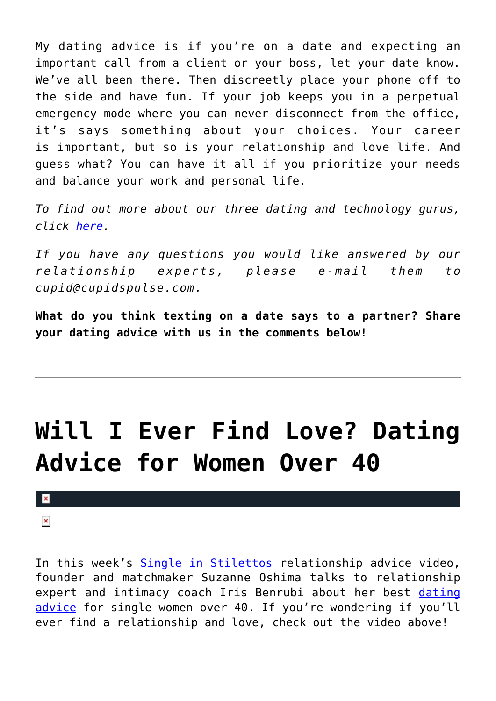My dating advice is if you're on a date and expecting an important call from a client or your boss, let your date know. We've all been there. Then discreetly place your phone off to the side and have fun. If your job keeps you in a perpetual emergency mode where you can never disconnect from the office, it's says something about your choices. Your career is important, but so is your relationship and love life. And guess what? You can have it all if you prioritize your needs and balance your work and personal life.

*To find out more about our three dating and technology gurus, click [here.](http://cupidspulse.com/relationship-dating-experts/oshima-wyatt-manni-technology-experts/)*

*If you have any questions you would like answered by our relationship experts, please e-mail them to cupid@cupidspulse.com.* 

**What do you think texting on a date says to a partner? Share your dating advice with us in the comments below!**

## **[Will I Ever Find Love? Dating](https://cupidspulse.com/104324/will-i-ever-find-love-dating-advice-for-women-over-40/) [Advice for Women Over 40](https://cupidspulse.com/104324/will-i-ever-find-love-dating-advice-for-women-over-40/)**

### $\mathbf x$

 $\pmb{\times}$ 

In this week's [Single in Stilettos](http://www.singleinstilettos.com) relationship advice video, founder and matchmaker Suzanne Oshima talks to relationship expert and intimacy coach Iris Benrubi about her best [dating](http://cupidspulse.com/dating/date-ideas/) [advice](http://cupidspulse.com/dating/date-ideas/) for single women over 40. If you're wondering if you'll ever find a relationship and love, check out the video above!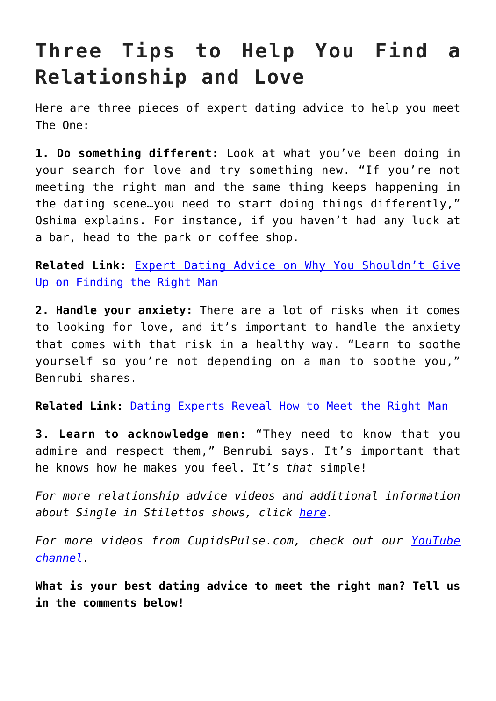## **Three Tips to Help You Find a Relationship and Love**

Here are three pieces of expert dating advice to help you meet The One:

**1. Do something different:** Look at what you've been doing in your search for love and try something new. "If you're not meeting the right man and the same thing keeps happening in the dating scene…you need to start doing things differently," Oshima explains. For instance, if you haven't had any luck at a bar, head to the park or coffee shop.

**Related Link:** [Expert Dating Advice on Why You Shouldn't Give](http://cupidspulse.com/104093/expert-dating-advice-single-in-stilettos-why-you-shouldnt-give-up-on-finding-the-right-man/) [Up on Finding the Right Man](http://cupidspulse.com/104093/expert-dating-advice-single-in-stilettos-why-you-shouldnt-give-up-on-finding-the-right-man/)

**2. Handle your anxiety:** There are a lot of risks when it comes to looking for love, and it's important to handle the anxiety that comes with that risk in a healthy way. "Learn to soothe yourself so you're not depending on a man to soothe you," Benrubi shares.

**Related Link:** [Dating Experts Reveal How to Meet the Right Man](http://cupidspulse.com/102656/dating-experts-reveal-how-to-attract-the-right-man/)

**3. Learn to acknowledge men:** "They need to know that you admire and respect them," Benrubi says. It's important that he knows how he makes you feel. It's *that* simple!

*For more relationship advice videos and additional information about Single in Stilettos shows, click [here.](http://cupidspulse.com/suzanne-oshima-single-in-stilettos-shows/)*

*For more videos from CupidsPulse.com, check out our [YouTube](https://www.youtube.com/channel/UCP4G7LiNJEVZ7U0M24qXmfg) [channel](https://www.youtube.com/channel/UCP4G7LiNJEVZ7U0M24qXmfg).*

**What is your best dating advice to meet the right man? Tell us in the comments below!**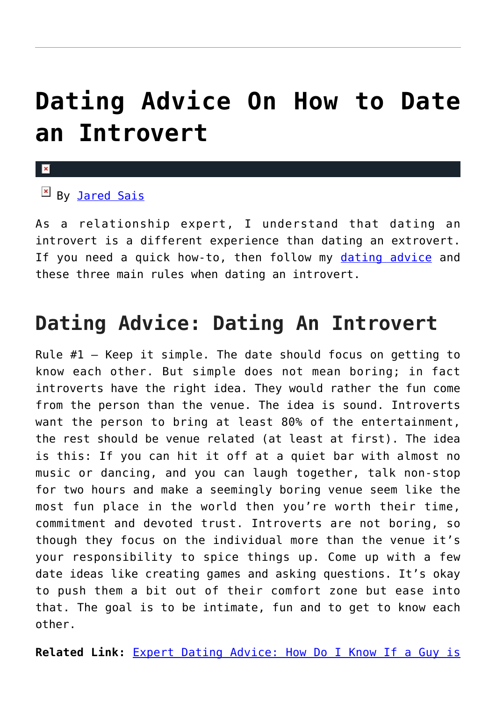## **[Dating Advice On How to Date](https://cupidspulse.com/104122/dating-advice-how-to-date-an-introvert/) [an Introvert](https://cupidspulse.com/104122/dating-advice-how-to-date-an-introvert/)**

#### x

 $By$  [Jared Sais](http://cupidspulse.com/relationship-dating-experts/jared-sais-body-language-non-verbal/)

As a relationship expert, I understand that dating an introvert is a different experience than dating an extrovert. If you need a quick how-to, then follow my [dating advice](http://cupidspulse.com/dating/date-ideas/) and these three main rules when dating an introvert.

### **Dating Advice: Dating An Introvert**

Rule #1 – Keep it simple. The date should focus on getting to know each other. But simple does not mean boring; in fact introverts have the right idea. They would rather the fun come from the person than the venue. The idea is sound. Introverts want the person to bring at least 80% of the entertainment, the rest should be venue related (at least at first). The idea is this: If you can hit it off at a quiet bar with almost no music or dancing, and you can laugh together, talk non-stop for two hours and make a seemingly boring venue seem like the most fun place in the world then you're worth their time, commitment and devoted trust. Introverts are not boring, so though they focus on the individual more than the venue it's your responsibility to spice things up. Come up with a few date ideas like creating games and asking questions. It's okay to push them a bit out of their comfort zone but ease into that. The goal is to be intimate, fun and to get to know each other.

**Related Link:** [Expert Dating Advice: How Do I Know If a Guy is](http://cupidspulse.com/102316/expert-dating-advice-how-do-i-know-if-a-guy-is-into-me/)